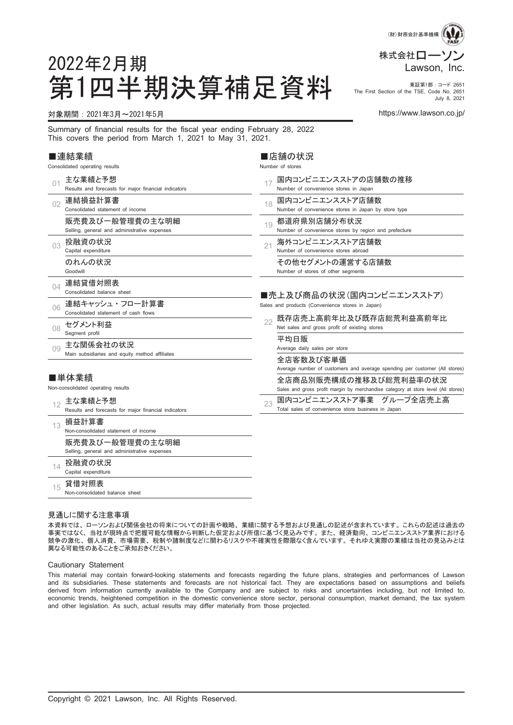

#### 第1四半期決算補足資料 **We First Section of the TSE, Code No. 2**651 The First Section of the TSE, Code No. 2651 July 8, 2021

#### 対象期間:2021年3月~2021年5月 https://www.lawson.co.jp/

2022年2月期

Summary of financial results for the fiscal year ending February 28, 2022 This covers the period from March 1, 2021 to May 31, 2021.

#### ■連結業績

Consolidated operating results

| 01  | 主な業績と予想                                                         |    | 国内コンビニエンスストアの店舗数の推移                                                                                         |
|-----|-----------------------------------------------------------------|----|-------------------------------------------------------------------------------------------------------------|
|     | Results and forecasts for major financial indicators            |    | Number of convenience stores in Japan                                                                       |
| 02  | 連結損益計算書                                                         | 18 | 国内コンビニエンスストア店舗数                                                                                             |
|     | Consolidated statement of income                                |    | Number of convenience stores in Japan by store type                                                         |
|     | 販売費及び一般管理費の主な明細                                                 | 19 | 都道府県別店舗分布状況                                                                                                 |
|     | Selling, general and administrative expenses                    |    | Number of convenience stores by region and prefecture                                                       |
| 03  | 投融資の状況                                                          | 21 | 海外コンビニエンスストア店舗数                                                                                             |
|     | Capital expenditure                                             |    | Number of convenience stores abroad                                                                         |
|     | のれんの状況                                                          |    | その他セグメントの運営する店舗数                                                                                            |
|     | Goodwill                                                        |    | Number of stores of other segments                                                                          |
| 04  | 連結貸借対照表                                                         |    |                                                                                                             |
|     | Consolidated balance sheet                                      |    | ■売上及び商品の状況(国内コンビニエンスストア)                                                                                    |
| 06  | 連結キャッシュ・フロー計算書                                                  |    | Sales and products (Convenience stores in Japan)                                                            |
|     | Consolidated statement of cash flows                            |    | 既存店売上高前年比及び既存店総荒利益高前年比                                                                                      |
| 08  | セグメント利益                                                         | 22 | Net sales and gross profit of existing stores                                                               |
|     | Segment profit                                                  |    | 平均日販                                                                                                        |
| 0.9 | 主な関係会社の状況                                                       |    | Average daily sales per store                                                                               |
|     | Main subsidiaries and equity method affiliates                  |    |                                                                                                             |
|     |                                                                 |    | 全店客数及び客単価<br>Average number of customers and average spending per customer (All stores)                     |
|     | ■単体業績                                                           |    |                                                                                                             |
|     | Non-consolidated operating results                              |    | 全店商品別販売構成の推移及び総荒利益率の状況<br>Sales and gross profit margin by merchandise category at store level (All stores) |
|     |                                                                 |    |                                                                                                             |
| 12  | 主な業績と予想<br>Results and forecasts for major financial indicators | 23 | 国内コンビニエンスストア事業 グループ全店売上高<br>Total sales of convenience store business in Japan                              |
|     |                                                                 |    |                                                                                                             |
| 13  | 損益計算書<br>Non-consolidated statement of income                   |    |                                                                                                             |
|     |                                                                 |    |                                                                                                             |
|     | 販売費及び一般管理費の主な明細                                                 |    |                                                                                                             |
|     | Selling, general and administrative expenses                    |    |                                                                                                             |
| 14  | 投融資の状況                                                          |    |                                                                                                             |
|     | Capital expenditure                                             |    |                                                                                                             |
| 15  | 貸借対照表                                                           |    |                                                                                                             |
|     | Non-consolidated balance sheet                                  |    |                                                                                                             |

■店舗の状況 Number of stores

#### 見通しに関する注意事項

本資料では、 ローソンおよび関係会社の将来についての計画や戦略、 業績に関する予想および見通しの記述が含まれています。 これらの記述は過去の 事実ではなく、 当社が現時点で把握可能な情報から判断した仮定および所信に基づく見込みです。 また、 経済動向、 コンビニエンスストア業界における 競争の激化、 個人消費、 市場需要、 税制や諸制度などに関わるリスクや不確実性を際限なく含んでいます。 それゆえ実際の業績は当社の見込みとは 異なる可能性のあることをご承知おきください。

#### Cautionary Statement

This material may contain forward-looking statements and forecasts regarding the future plans, strategies and performances of Lawson and its subsidiaries. These statements and forecasts are not historical fact. They are expectations based on assumptions and beliefs derived from information currently available to the Company and are subject to risks and uncertainties including, but not limited to, economic trends, heightened competition in the domestic convenience store sector, personal consumption, market demand, the tax system and other legislation. As such, actual results may differ materially from those projected.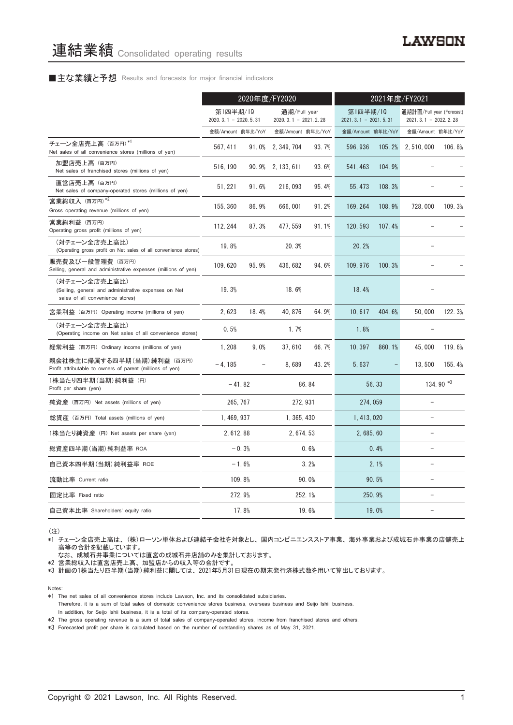### ■主な業績と予想 Results and forecasts for major financial indicators

|                                                                                                           | 2020年度/FY2020                                                                |          |                                    |        | 2021年度/FY2021                                         |        |                   |           |
|-----------------------------------------------------------------------------------------------------------|------------------------------------------------------------------------------|----------|------------------------------------|--------|-------------------------------------------------------|--------|-------------------|-----------|
|                                                                                                           | 第1四半期/10<br>通期/Full year<br>$2020.3.1 - 2020.5.31$<br>$2020.3.1 - 2021.2.28$ |          | 第1四半期/10<br>$2021.3.1 - 2021.5.31$ |        | 通期計画/Full year (Forecast)<br>2021. 3. 1 - 2022. 2. 28 |        |                   |           |
|                                                                                                           | 金額/Amount 前年比/YoY                                                            |          | 金額/Amount 前年比/YoY                  |        | 金額/Amount 前年比/YoY                                     |        | 金額/Amount 前年比/YoY |           |
| チェーン全店売上高 (百万円)*1<br>Net sales of all convenience stores (millions of yen)                                | 567.411                                                                      | 91.0%    | 2, 349, 704                        | 93.7%  | 596.936                                               | 105.2% | 2.510.000         | 106.8%    |
| 加盟店売上高 (百万円)<br>Net sales of franchised stores (millions of yen)                                          | 516, 190                                                                     |          | 90.9% 2, 133, 611                  | 93.6%  | 541, 463                                              | 104.9% |                   |           |
| 直営店売上高(百万円)<br>Net sales of company-operated stores (millions of yen)                                     | 51, 221                                                                      | 91.6%    | 216, 093                           | 95.4%  | 55, 473                                               | 108.3% |                   |           |
| 営業総収入 (百万円)*2<br>Gross operating revenue (millions of yen)                                                | 155, 360                                                                     | 86.9%    | 666,001                            | 91.2%  | 169, 264                                              | 108.9% | 728,000           | 109.3%    |
| 営業総利益 (百万円)<br>Operating gross profit (millions of yen)                                                   | 112, 244                                                                     | 87.3%    | 477, 559                           | 91.1%  | 120.593                                               | 107.4% |                   |           |
| (対チェーン全店売上高比)<br>(Operating gross profit on Net sales of all convenience stores)                          | 19.8%                                                                        |          | 20.3%                              |        | 20.2%                                                 |        |                   |           |
| 販売費及び一般管理費(百万円)<br>Selling, general and administrative expenses (millions of yen)                         | 109, 620                                                                     | 95.9%    | 436, 682                           | 94.6%  | 109, 976                                              | 100.3% |                   |           |
| (対チェーン全店売上高比)<br>(Selling, general and administrative expenses on Net<br>sales of all convenience stores) | 19.3%                                                                        |          | 18.6%                              |        | 18.4%                                                 |        |                   |           |
| 営業利益 (百万円) Operating income (millions of yen)                                                             | 2.623                                                                        | 18.4%    | 40.876                             | 64.9%  | 10.617                                                | 404.6% | 50.000            | 122.3%    |
| (対チェーン全店売上高比)<br>(Operating income on Net sales of all convenience stores)                                | 0.5%                                                                         |          | 1.7%                               |        | 1.8%                                                  |        |                   |           |
| 経常利益(百万円)Ordinary income (millions of yen)                                                                | 1, 208                                                                       | 9.0%     | 37,610                             | 66.7%  | 10, 397                                               | 860.1% | 45,000            | 119.6%    |
| 親会社株主に帰属する四半期 (当期) 純利益 (百万円)<br>Profit attributable to owners of parent (millions of yen)                 | $-4.185$                                                                     |          | 8.689                              | 43.2%  | 5,637                                                 |        | 13,500            | 155.4%    |
| 1株当たり四半期 (当期) 純利益 (円)<br>Profit per share (yen)                                                           |                                                                              | $-41.82$ |                                    | 86.84  |                                                       | 56.33  |                   | 134.90 *3 |
| 純資産 (百万円) Net assets (millions of yen)                                                                    |                                                                              | 265.767  | 272.931                            |        | 274, 059                                              |        |                   |           |
| 総資産 (百万円) Total assets (millions of yen)                                                                  | 1, 469, 937                                                                  |          | 1, 365, 430                        |        | 1, 413, 020                                           |        | L.                |           |
| 1株当たり純資産 (円) Net assets per share (yen)                                                                   | 2, 612.88                                                                    |          | 2, 674.53                          |        | 2,685.60                                              |        | ۳                 |           |
| 総資産四半期(当期) 純利益率 ROA                                                                                       |                                                                              | $-0.3%$  |                                    | 0.6%   |                                                       | 0.4%   |                   |           |
| 自己資本四半期(当期) 純利益率 ROE                                                                                      |                                                                              | $-1.6%$  |                                    | 3.2%   |                                                       | 2.1%   |                   |           |
| 流動比率 Current ratio                                                                                        |                                                                              | 109.8%   |                                    | 90.0%  |                                                       | 90.5%  |                   |           |
| 固定比率 Fixed ratio                                                                                          |                                                                              | 272.9%   |                                    | 252.1% |                                                       | 250.9% |                   |           |
| 自己資本比率 Shareholders' equity ratio                                                                         |                                                                              | 17.8%    |                                    | 19.6%  |                                                       | 19.0%  |                   |           |

(注)

\*1 チェーン全店売上高は、 (株)ローソン単体および連結子会社を対象とし、 国内コンビニエンスストア事業、 海外事業および成城石井事業の店舗売上 高等の合計を記載しています。

なお、 成城石井事業については直営の成城石井店舗のみを集計しております。

\*2 営業総収入は直営店売上高、 加盟店からの収入等の合計です。

\*3 計画の1株当たり四半期(当期)純利益に関しては、 2021年5月31日現在の期末発行済株式数を用いて算出しております。

Notes:

Therefore, it is a sum of total sales of domestic convenience stores business, overseas business and Seijo Ishii business. In addition, for Seijo Ishii business, it is a total of its company-operated stores.

\*2 The gross operating revenue is a sum of total sales of company-operated stores, income from franchised stores and others.

\*3 Forecasted profit per share is calculated based on the number of outstanding shares as of May 31, 2021.

<sup>\*1</sup> The net sales of all convenience stores include Lawson, Inc. and its consolidated subsidiaries.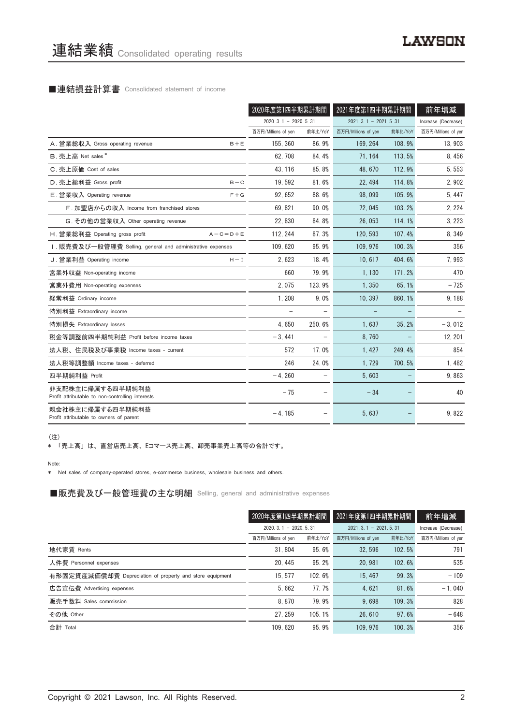#### ■連結損益計算書 Consolidated statement of income

|                                                                      |                 | 2020年度第1四半期累計期間        |                   | 2021年度第1四半期累計期間        |         | 前年増減                |
|----------------------------------------------------------------------|-----------------|------------------------|-------------------|------------------------|---------|---------------------|
|                                                                      |                 | $2020.3.1 - 2020.5.31$ |                   | $2021.3.1 - 2021.5.31$ |         | Increase (Decrease) |
|                                                                      |                 | 百万円/Millions of yen    | 前年比/YoY           | 百万円/Millions of yen    | 前年比/YoY | 百万円/Millions of yen |
| A. 営業総収入 Gross operating revenue                                     | $B + E$         | 155.360                | 86.9%             | 169.264                | 108.9%  | 13,903              |
| B. 売上高 Net sales*                                                    |                 | 62, 708                | 84.4%             | 71, 164                | 113.5%  | 8,456               |
| C. 売上原価 Cost of sales                                                |                 | 43, 116                | 85.8%             | 48.670                 | 112.9%  | 5,553               |
| D. 売上総利益 Gross profit                                                | $B - C$         | 19.592                 | 81.6%             | 22.494                 | 114.8%  | 2,902               |
| E. 営業収入 Operating revenue                                            | $F + G$         | 92, 652                | 88.6%             | 98.099                 | 105.9%  | 5, 447              |
| F. 加盟店からの収入 Income from franchised stores                            |                 | 69, 821                | 90.0%             | 72,045                 | 103.2%  | 2, 224              |
| G. その他の営業収入 Other operating revenue                                  |                 | 22,830                 | 84.8%             | 26,053                 | 114.1%  | 3, 223              |
| H. 営業総利益 Operating gross profit                                      | $A - C = D + E$ | 112, 244               | 87.3%             | 120, 593               | 107.4%  | 8,349               |
| I. 販売費及び一般管理費 Selling, general and administrative expenses           |                 | 109.620                | 95.9%             | 109.976                | 100.3%  | 356                 |
| J. 営業利益 Operating income                                             | $H - I$         | 2,623                  | 18.4%             | 10.617                 | 404.6%  | 7,993               |
| 営業外収益 Non-operating income                                           |                 | 660                    | 79.9%             | 1,130                  | 171.2%  | 470                 |
| 営業外費用 Non-operating expenses                                         |                 | 2.075                  | 123.9%            | 1.350                  | 65.1%   | $-725$              |
| 経常利益 Ordinary income                                                 |                 | 1.208                  | 9.0%              | 10.397                 | 860.1%  | 9,188               |
| 特別利益 Extraordinary income                                            |                 |                        |                   |                        |         |                     |
| 特別損失 Extraordinary losses                                            |                 | 4.650                  | 250.6%            | 1.637                  | 35.2%   | $-3,012$            |
| 税金等調整前四半期純利益 Profit before income taxes                              |                 | $-3,441$               |                   | 8.760                  |         | 12, 201             |
| 法人税、住民税及び事業税 Income taxes - current                                  |                 | 572                    | 17.0%             | 1.427                  | 249.4%  | 854                 |
| 法人税等調整額 Income taxes - deferred                                      |                 | 246                    | 24.0%             | 1,729                  | 700.5%  | 1,482               |
| 四半期純利益 Profit                                                        |                 | $-4.260$               | $\qquad \qquad -$ | 5.603                  |         | 9,863               |
| 非支配株主に帰属する四半期純利益<br>Profit attributable to non-controlling interests |                 | $-75$                  |                   | $-34$                  |         | 40                  |
| 親会社株主に帰属する四半期純利益<br>Profit attributable to owners of parent          |                 | $-4, 185$              |                   | 5,637                  |         | 9,822               |

(注)

\* 「売上高」 は、 直営店売上高、 Eコマース売上高、 卸売事業売上高等の合計です。

Note:

\* Net sales of company-operated stores, e-commerce business, wholesale business and others.

■販売費及び一般管理費の主な明細 Selling, general and administrative expenses

|                                                          | 2020年度第1四半期累計期間        |         | 2021年度第1四半期累計期間        |                     | 前年増減                |
|----------------------------------------------------------|------------------------|---------|------------------------|---------------------|---------------------|
|                                                          | $2020.3.1 - 2020.5.31$ |         | $2021.3.1 - 2021.5.31$ | Increase (Decrease) |                     |
|                                                          | 百万円/Millions of yen    | 前年比/YoY | 百万円/Millions of yen    | 前年比/YoY             | 百万円/Millions of yen |
| 地代家賃 Rents                                               | 31.804                 | 95.6%   | 32.596                 | 102.5%              | 791                 |
| 人件費 Personnel expenses                                   | 20.445                 | 95.2%   | 20.981                 | 102.6%              | 535                 |
| 有形固定資産減価償却費 Depreciation of property and store equipment | 15.577                 | 102.6%  | 15.467                 | 99.3%               | $-109$              |
| 広告宣伝費 Advertising expenses                               | 5.662                  | 77.7%   | 4.621                  | 81.6%               | $-1.040$            |
| 販売手数料 Sales commission                                   | 8.870                  | 79.9%   | 9.698                  | 109.3%              | 828                 |
| その他 Other                                                | 27.259                 | 105.1%  | 26, 610                | 97.6%               | $-648$              |
| 合計 Total                                                 | 109.620                | 95.9%   | 109.976                | 100.3%              | 356                 |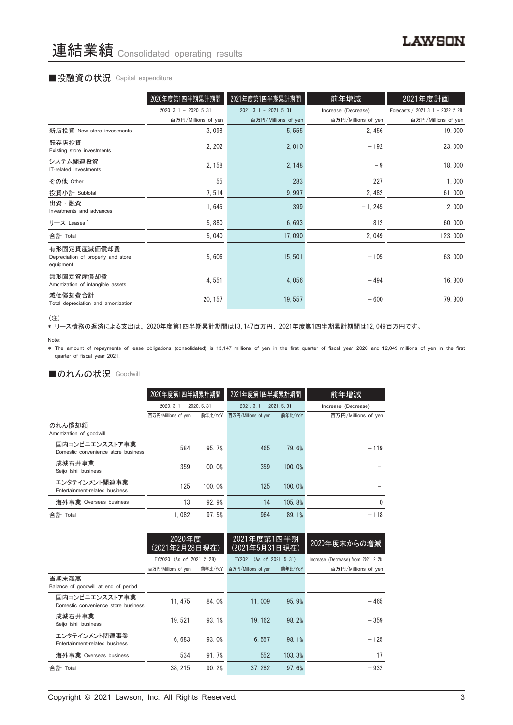### ■投融資の状況 Capital expenditure

|                                                                | 2020年度第1四半期累計期間        | 2021年度第1四半期累計期間        | 前年増減                | 2021年度計画                             |
|----------------------------------------------------------------|------------------------|------------------------|---------------------|--------------------------------------|
|                                                                | $2020.3.1 - 2020.5.31$ | $2021.3.1 - 2021.5.31$ | Increase (Decrease) | Forecasts / 2021. 3. 1 - 2022. 2. 28 |
|                                                                | 百万円/Millions of yen    | 百万円/Millions of yen    | 百万円/Millions of yen | 百万円/Millions of yen                  |
| 新店投資 New store investments                                     | 3,098                  | 5, 555                 | 2, 456              | 19,000                               |
| 既存店投資<br>Existing store investments                            | 2, 202                 | 2,010                  | $-192$              | 23,000                               |
| システム関連投資<br>IT-related investments                             | 2, 158                 | 2, 148                 | $-9$                | 18,000                               |
| その他 Other                                                      | 55                     | 283                    | 227                 | 1,000                                |
| 投資小計 Subtotal                                                  | 7,514                  | 9,997                  | 2,482               | 61,000                               |
| 出資・融資<br>Investments and advances                              | 1,645                  | 399                    | $-1, 245$           | 2,000                                |
| リース Leases*                                                    | 5,880                  | 6,693                  | 812                 | 60,000                               |
| 合計 Total                                                       | 15,040                 | 17,090                 | 2,049               | 123,000                              |
| 有形固定資産減価償却費<br>Depreciation of property and store<br>equipment | 15,606                 | 15,501                 | $-105$              | 63,000                               |
| 無形固定資産償却費<br>Amortization of intangible assets                 | 4,551                  | 4,056                  | $-494$              | 16,800                               |
| 減価償却費合計<br>Total depreciation and amortization                 | 20, 157                | 19,557                 | $-600$              | 79,800                               |

<sup>(</sup>注)

\* リース債務の返済による支出は、 2020年度第1四半期累計期間は13,147百万円、 2021年度第1四半期累計期間は12,049百万円です。

\* The amount of repayments of lease obligations (consolidated) is 13,147 millions of yen in the first quarter of fiscal year 2020 and 12,049 millions of yen in the first quarter of fiscal year 2021.

## ■のれんの状況 Goodwill

|                                                       | 2020年度第1四半期累計期間        |         | 2021年度第1四半期累計期間        |         | 前年増減                |
|-------------------------------------------------------|------------------------|---------|------------------------|---------|---------------------|
|                                                       | $2020.3.1 - 2020.5.31$ |         | $2021.3.1 - 2021.5.31$ |         | Increase (Decrease) |
|                                                       | 百万円/Millions of yen    | 前年比/YoY | 百万円/Millions of yen    | 前年比/YoY | 百万円/Millions of yen |
| のれん償却額<br>Amortization of goodwill                    |                        |         |                        |         |                     |
| 国内コンビニエンスストア事業<br>Domestic convenience store business | 584                    | 95.7%   | 465                    | 79.6%   | $-119$              |
| 成城石井事業<br>Seijo Ishii business                        | 359                    | 100.0%  | 359                    | 100.0%  |                     |
| エンタテインメント関連事業<br>Entertainment-related business       | 125                    | 100.0%  | 125                    | 100.0%  |                     |
| 海外事業 Overseas business                                | 13                     | 92.9%   | 14                     | 105.8%  | $\Omega$            |
| 合計 Total                                              | 1.082                  | 97.5%   | 964                    | 89.1%   | $-118$              |

|                                                       | 2020年度<br>(2021年2月28日現在) |         | 2021年度第1四半期<br>(2021年5月31日現在) |         | 2020年度末からの増減                        |
|-------------------------------------------------------|--------------------------|---------|-------------------------------|---------|-------------------------------------|
|                                                       | FY2020 (As of 2021.2.28) |         | FY2021 (As of 2021.5.31)      |         | Increase (Decrease) from 2021. 2.28 |
|                                                       | 百万円/Millions of yen      | 前年比/YoY | 百万円/Millions of yen           | 前年比/YoY | 百万円/Millions of yen                 |
| 当期末残高<br>Balance of goodwill at end of period         |                          |         |                               |         |                                     |
| 国内コンビニエンスストア事業<br>Domestic convenience store business | 11.475                   | 84.0%   | 11.009                        | 95.9%   | $-465$                              |
| 成城石井事業<br>Seijo Ishii business                        | 19.521                   | 93.1%   | 19.162                        | 98.2%   | $-359$                              |
| エンタテインメント関連事業<br>Entertainment-related business       | 6.683                    | 93.0%   | 6.557                         | 98.1%   | $-125$                              |
| 海外事業 Overseas business                                | 534                      | 91.7%   | 552                           | 103.3%  | 17                                  |
| 合計 Total                                              | 38.215                   | 90.2%   | 37.282                        | 97.6%   | $-932$                              |

Note: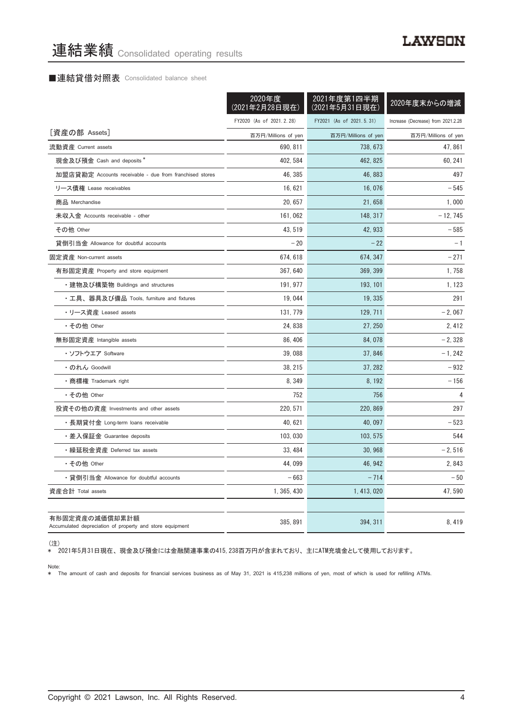### ■連結貸借対照表 Consolidated balance sheet

|                                                                            | 2020年度<br>(2021年2月28日現在) | 2021年度第1四半期<br>(2021年5月31日現在) | 2020年度末からの増減                       |  |
|----------------------------------------------------------------------------|--------------------------|-------------------------------|------------------------------------|--|
|                                                                            | FY2020 (As of 2021.2.28) | FY2021 (As of 2021.5.31)      | Increase (Decrease) from 2021.2.28 |  |
| [資産の部 Assets]                                                              | 百万円/Millions of yen      | 百万円/Millions of yen           | 百万円/Millions of yen                |  |
| 流動資産 Current assets                                                        | 690, 811                 | 738, 673                      | 47, 861                            |  |
| 現金及び預金 Cash and deposits *                                                 | 402, 584                 | 462, 825                      | 60, 241                            |  |
| 加盟店貸勘定 Accounts receivable - due from franchised stores                    | 46, 385                  | 46, 883                       | 497                                |  |
| リース債権 Lease receivables                                                    | 16, 621                  | 16,076                        | $-545$                             |  |
| 商品 Merchandise                                                             | 20, 657                  | 21,658                        | 1,000                              |  |
| 未収入金 Accounts receivable - other                                           | 161,062                  | 148, 317                      | $-12, 745$                         |  |
| その他 Other                                                                  | 43, 519                  | 42, 933                       | $-585$                             |  |
| 貸倒引当金 Allowance for doubtful accounts                                      | $-20$                    | $-22$                         | $-1$                               |  |
| 固定資産 Non-current assets                                                    | 674, 618                 | 674, 347                      | $-271$                             |  |
| 有形固定資産 Property and store equipment                                        | 367, 640                 | 369, 399                      | 1,758                              |  |
| ・建物及び構築物 Buildings and structures                                          | 191, 977                 | 193, 101                      | 1, 123                             |  |
| ・工具、器具及び備品 Tools, furniture and fixtures                                   | 19,044                   | 19, 335                       | 291                                |  |
| ・リース資産 Leased assets                                                       | 131, 779                 | 129, 711                      | $-2,067$                           |  |
| ・その他 Other                                                                 | 24, 838                  | 27, 250                       | 2, 412                             |  |
| 無形固定資産 Intangible assets                                                   | 86, 406                  | 84,078                        | $-2,328$                           |  |
| ・ソフトウエア Software                                                           | 39,088                   | 37, 846                       | $-1, 242$                          |  |
| ・のれん Goodwill                                                              | 38, 215                  | 37, 282                       | $-932$                             |  |
| •商標権 Trademark right                                                       | 8, 349                   | 8, 192                        | $-156$                             |  |
| ・その他 Other                                                                 | 752                      | 756                           | 4                                  |  |
| 投資その他の資産 Investments and other assets                                      | 220, 571                 | 220, 869                      | 297                                |  |
| ・長期貸付金 Long-term loans receivable                                          | 40, 621                  | 40, 097                       | $-523$                             |  |
| ・差入保証金 Guarantee deposits                                                  | 103, 030                 | 103, 575                      | 544                                |  |
| ・繰延税金資産 Deferred tax assets                                                | 33, 484                  | 30, 968                       | $-2,516$                           |  |
| ・その他 Other                                                                 | 44,099                   | 46, 942                       | 2,843                              |  |
| • 貸倒引当金 Allowance for doubtful accounts                                    | $-663$                   | $-714$                        | $-50$                              |  |
| 資産合計 Total assets                                                          | 1, 365, 430              | 1, 413, 020                   | 47,590                             |  |
|                                                                            |                          |                               |                                    |  |
| 有形固定資産の減価償却累計額<br>Accumulated depreciation of property and store equipment | 385, 891                 | 394, 311                      | 8,419                              |  |

(注)

\* 2021年5月31日現在、 現金及び預金には金融関連事業の415,238百万円が含まれており、 主にATM充填金として使用しております。

Note: \* The amount of cash and deposits for financial services business as of May 31, 2021 is 415,238 millions of yen, most of which is used for refilling ATMs.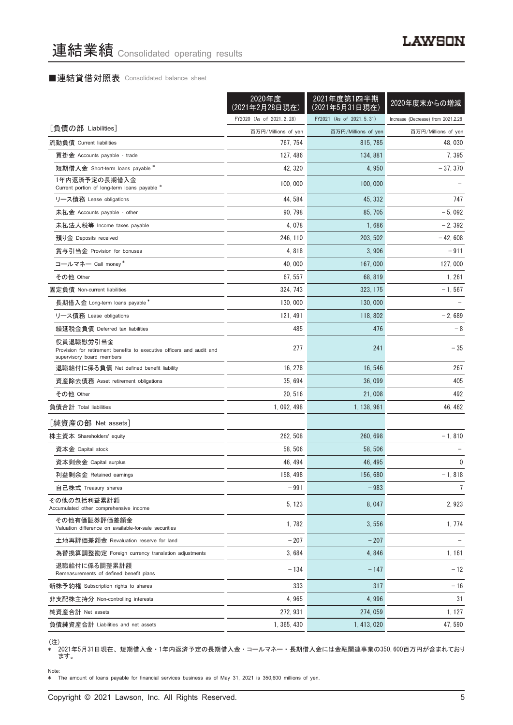## ■連結貸借対照表 Consolidated balance sheet

|                                                                                                                 | 2020年度<br>(2021年2月28日現在) | 2021年度第1四半期<br>(2021年5月31日現在) | 2020年度末からの増減                       |
|-----------------------------------------------------------------------------------------------------------------|--------------------------|-------------------------------|------------------------------------|
|                                                                                                                 | FY2020 (As of 2021.2.28) | FY2021 (As of 2021.5.31)      | Increase (Decrease) from 2021.2.28 |
| [負債の部 Liabilities]                                                                                              | 百万円/Millions of yen      | 百万円/Millions of yen           | 百万円/Millions of yen                |
| 流動負債 Current liabilities                                                                                        | 767, 754                 | 815, 785                      | 48.030                             |
| 買掛金 Accounts payable - trade                                                                                    | 127, 486                 | 134, 881                      | 7,395                              |
| 短期借入金 Short-term loans payable *                                                                                | 42, 320                  | 4,950                         | $-37,370$                          |
| 1年内返済予定の長期借入金<br>Current portion of long-term loans payable *                                                   | 100,000                  | 100,000                       |                                    |
| リース債務 Lease obligations                                                                                         | 44, 584                  | 45, 332                       | 747                                |
| 未払金 Accounts payable - other                                                                                    | 90, 798                  | 85, 705                       | $-5,092$                           |
| 未払法人税等 Income taxes payable                                                                                     | 4,078                    | 1,686                         | $-2, 392$                          |
| 預り金 Deposits received                                                                                           | 246, 110                 | 203, 502                      | $-42,608$                          |
| 賞与引当金 Provision for bonuses                                                                                     | 4,818                    | 3,906                         | $-911$                             |
| コールマネー Call money *                                                                                             | 40,000                   | 167,000                       | 127,000                            |
| その他 Other                                                                                                       | 67, 557                  | 68, 819                       | 1, 261                             |
| 固定負債 Non-current liabilities                                                                                    | 324, 743                 | 323, 175                      | $-1, 567$                          |
| 長期借入金 Long-term loans payable *                                                                                 | 130,000                  | 130,000                       |                                    |
| リース債務 Lease obligations                                                                                         | 121, 491                 | 118, 802                      | $-2,689$                           |
| 繰延税金負債 Deferred tax liabilities                                                                                 | 485                      | 476                           | $-8$                               |
| 役員退職慰労引当金<br>Provision for retirement benefits to executive officers and audit and<br>supervisory board members | 277                      | 241                           | $-35$                              |
| 退職給付に係る負債 Net defined benefit liability                                                                         | 16, 278                  | 16, 546                       | 267                                |
| 資産除去債務 Asset retirement obligations                                                                             | 35, 694                  | 36,099                        | 405                                |
| その他 Other                                                                                                       | 20, 516                  | 21,008                        | 492                                |
| 負債合計 Total liabilities                                                                                          | 1, 092, 498              | 1, 138, 961                   | 46, 462                            |
| [純資産の部 Net assets]                                                                                              |                          |                               |                                    |
| 株主資本 Shareholders' equity                                                                                       | 262, 508                 | 260, 698                      | $-1,810$                           |
| 資本金 Capital stock                                                                                               | 58, 506                  | 58, 506                       |                                    |
| 資本剰余金 Capital surplus                                                                                           | 46, 494                  | 46, 495                       | 0                                  |
| 利益剰余金 Retained earnings                                                                                         | 158, 498                 | 156,680                       | $-1,818$                           |
| 自己株式 Treasury shares                                                                                            | $-991$                   | $-983$                        | $\overline{7}$                     |
| その他の包括利益累計額<br>Accumulated other comprehensive income                                                           | 5, 123                   | 8,047                         | 2,923                              |
| その他有価証券評価差額金<br>Valuation difference on available-for-sale securities                                           | 1,782                    | 3,556                         | 1,774                              |
| 土地再評価差額金 Revaluation reserve for land                                                                           | $-207$                   | $-207$                        |                                    |
| 為替換算調整勘定 Foreign currency translation adjustments                                                               | 3,684                    | 4,846                         | 1, 161                             |
| 退職給付に係る調整累計額<br>Remeasurements of defined benefit plans                                                         | $-134$                   | $-147$                        | $-12$                              |
| 新株予約権 Subscription rights to shares                                                                             | 333                      | 317                           | $-16$                              |
| 非支配株主持分 Non-controlling interests                                                                               | 4,965                    | 4,996                         | 31                                 |
| 純資産合計 Net assets                                                                                                | 272, 931                 | 274,059                       | 1, 127                             |
| 負債純資産合計 Liabilities and net assets                                                                              | 1, 365, 430              | 1, 413, 020                   | 47,590                             |

<sup>(</sup>注)

\* 2021年5月31日現在、 短期借入金 ・ 1年内返済予定の長期借入金 ・ コールマネー ・ 長期借入金には金融関連事業の350,600百万円が含まれており ます。

Note:

\* The amount of loans payable for financial services business as of May 31, 2021 is 350,600 millions of yen.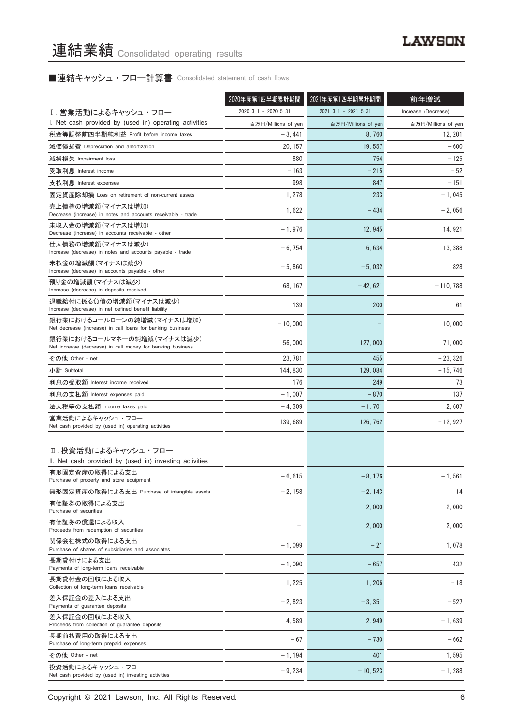# ■連結キャッシュ・フロー計算書 Consolidated statement of cash flows

|                                                                                          | 2020年度第1四半期累計期間        | 2021年度第1四半期累計期間        | 前年増減                |
|------------------------------------------------------------------------------------------|------------------------|------------------------|---------------------|
| I.営業活動によるキャッシュ・フロー                                                                       | $2020.3.1 - 2020.5.31$ | $2021.3.1 - 2021.5.31$ | Increase (Decrease) |
| I. Net cash provided by (used in) operating activities                                   | 百万円/Millions of yen    | 百万円/Millions of yen    | 百万円/Millions of yen |
| 税金等調整前四半期純利益 Profit before income taxes                                                  | $-3,441$               | 8,760                  | 12, 201             |
| 減価償却費 Depreciation and amortization                                                      | 20, 157                | 19, 557                | - 600               |
| 減損損失 Impairment loss                                                                     | 880                    | 754                    | $-125$              |
| 受取利息 Interest income                                                                     | $-163$                 | $-215$                 | $-52$               |
| 支払利息 Interest expenses                                                                   | 998                    | 847                    | $-151$              |
| 固定資産除却損 Loss on retirement of non-current assets                                         | 1, 278                 | 233                    | $-1,045$            |
| 売上債権の増減額(マイナスは増加)<br>Decrease (increase) in notes and accounts receivable - trade        | 1,622                  | $-434$                 | $-2,056$            |
| 未収入金の増減額(マイナスは増加)<br>Decrease (increase) in accounts receivable - other                  | $-1,976$               | 12, 945                | 14, 921             |
| 仕入債務の増減額(マイナスは減少)<br>Increase (decrease) in notes and accounts payable - trade           | $-6,754$               | 6,634                  | 13, 388             |
| 未払金の増減額 (マイナスは減少)<br>Increase (decrease) in accounts payable - other                     | $-5,860$               | $-5,032$               | 828                 |
| 預り金の増減額(マイナスは減少)<br>Increase (decrease) in deposits received                             | 68.167                 | $-42,621$              | $-110,788$          |
| 退職給付に係る負債の増減額(マイナスは減少)<br>Increase (decrease) in net defined benefit liability           | 139                    | 200                    | 61                  |
| 銀行業におけるコールローンの純増減(マイナスは増加)<br>Net decrease (increase) in call loans for banking business | $-10,000$              |                        | 10,000              |
| 銀行業におけるコールマネーの純増減(マイナスは減少)<br>Net increase (decrease) in call money for banking business | 56,000                 | 127,000                | 71,000              |
| その他 Other - net                                                                          | 23, 781                | 455                    | $-23, 326$          |
| 小計 Subtotal                                                                              | 144, 830               | 129, 084               | $-15, 746$          |
| 利息の受取額 Interest income received                                                          | 176                    | 249                    | 73                  |
| 利息の支払額 Interest expenses paid                                                            | $-1,007$               | $-870$                 | 137                 |
| 法人税等の支払額 Income taxes paid                                                               | $-4,309$               | $-1,701$               | 2,607               |
| 営業活動によるキャッシュ・フロー<br>Net cash provided by (used in) operating activities                  | 139, 689               | 126, 762               | $-12,927$           |
| Ⅱ. 投資活動によるキャッシュ・フロー<br>II. Net cash provided by (used in) investing activities           |                        |                        |                     |
| 有形固定資産の取得による支出<br>Purchase of property and store equipment                               | $-6,615$               | $-8, 176$              | $-1, 561$           |
| 無形固定資産の取得による支出 Purchase of intangible assets                                             | $-2,158$               | $-2, 143$              | 14                  |
| 有価証券の取得による支出<br>Purchase of securities                                                   |                        | $-2,000$               | $-2,000$            |
| 有価証券の償還による収入<br>Proceeds from redemption of securities                                   |                        | 2,000                  | 2,000               |
| 関係会社株式の取得による支出<br>Purchase of shares of subsidiaries and associates                      | $-1,099$               | $-21$                  | 1,078               |
| 長期貸付けによる支出<br>Payments of long-term loans receivable                                     | $-1,090$               | $-657$                 | 432                 |
| 長期貸付金の回収による収入<br>Collection of long-term loans receivable                                | 1,225                  | 1,206                  | $-18$               |
| 差入保証金の差入による支出<br>Payments of guarantee deposits                                          | $-2,823$               | $-3, 351$              | - 527               |
| 差入保証金の回収による収入<br>Proceeds from collection of guarantee deposits                          | 4,589                  | 2,949                  | $-1,639$            |
| 長期前払費用の取得による支出<br>Purchase of long-term prepaid expenses                                 | $-67$                  | $-730$                 | $-662$              |
| その他 Other - net                                                                          | $-1, 194$              | 401                    | 1,595               |
| 投資活動によるキャッシュ・フロー<br>Net cash provided by (used in) investing activities                  | $-9,234$               | $-10, 523$             | $-1,288$            |

Copyright © 2021 Lawson, Inc. All Rights Reserved. 6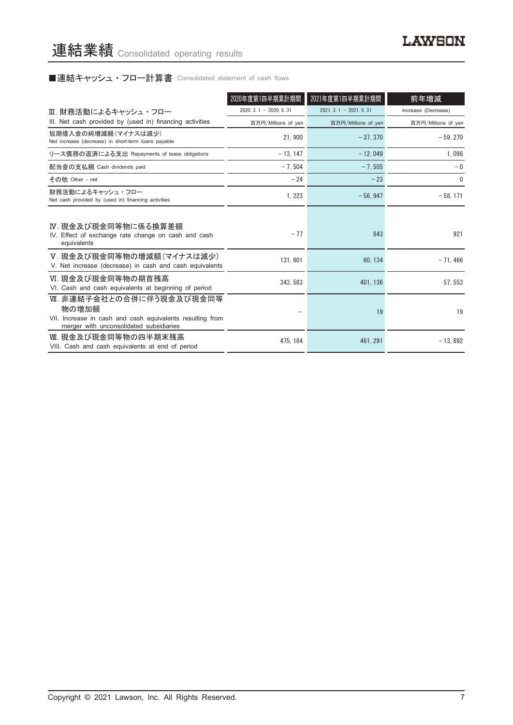# ■連結キャッシュ・フロー計算書 Consolidated statement of cash flows

|                                                                                                                                           | 2020年度第1四半期累計期間            | 2021年度第1四半期累計期間        | 前年増減                |
|-------------------------------------------------------------------------------------------------------------------------------------------|----------------------------|------------------------|---------------------|
| Ⅲ. 財務活動によるキャッシュ・フロー                                                                                                                       | $2020, 3, 1 - 2020, 5, 31$ | $2021.3.1 - 2021.5.31$ | Increase (Decrease) |
| III. Net cash provided by (used in) financing activities                                                                                  | 百万円/Millions of yen        | 百万円/Millions of yen    | 百万円/Millions of yen |
| 短期借入金の純増減額(マイナスは減少)<br>Net increase (decrease) in short-term loans payable                                                                | 21.900                     | $-37.370$              | $-59.270$           |
| リース債務の返済による支出 Repayments of lease obligations                                                                                             | $-13, 147$                 | $-12,049$              | 1,098               |
| 配当金の支払額 Cash dividends paid                                                                                                               | $-7.504$                   | $-7.505$               | $-0$                |
| その他 Other - net                                                                                                                           | $-24$                      | $-23$                  | $\Omega$            |
| 財務活動によるキャッシュ・フロー<br>Net cash provided by (used in) financing activities                                                                   | 1, 223                     | $-56.947$              | $-58, 171$          |
| Ⅳ. 現金及び現金同等物に係る換算差額<br>IV. Effect of exchange rate change on cash and cash<br>equivalents                                                 | $-77$                      | 843                    | 921                 |
| Ⅴ. 現金及び現金同等物の増減額(マイナスは減少)<br>V. Net increase (decrease) in cash and cash equivalents                                                      | 131,601                    | 60.134                 | $-71.466$           |
| Ⅵ. 現金及び現金同等物の期首残高<br>VI. Cash and cash equivalents at beginning of period                                                                 | 343, 583                   | 401, 136               | 57, 553             |
| Ⅶ. 非連結子会社との合併に伴う現金及び現金同等<br>物の増加額<br>VII. Increase in cash and cash equivalents resulting from<br>merger with unconsolidated subsidiaries |                            | 19                     | 19                  |
| Ⅷ. 現金及び現金同等物の四半期末残高<br>VIII. Cash and cash equivalents at end of period                                                                   | 475.184                    | 461.291                | $-13,892$           |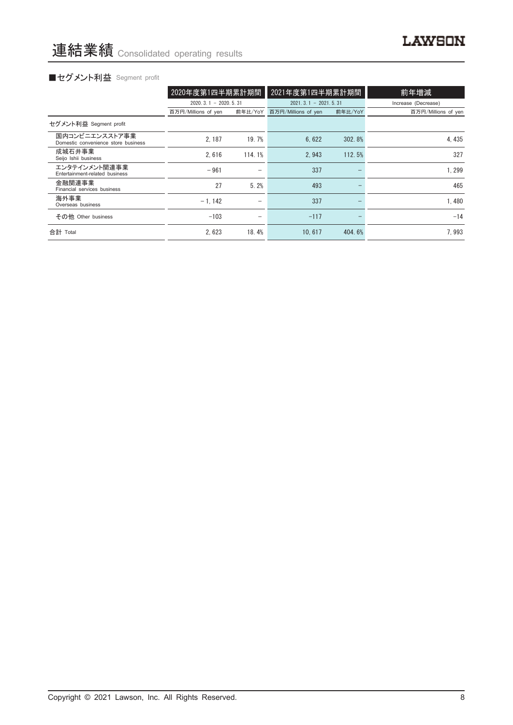# ■セグメント利益 Segment profit

|                                                       | 2020年度第1四半期累計期間        |         | 2021年度第1四半期累計期間        |         | 前年増減                |
|-------------------------------------------------------|------------------------|---------|------------------------|---------|---------------------|
|                                                       | $2020.3.1 - 2020.5.31$ |         | $2021.3.1 - 2021.5.31$ |         | Increase (Decrease) |
|                                                       | 百万円/Millions of yen    | 前年比/YoY | 百万円/Millions of yen    | 前年比/YoY | 百万円/Millions of yen |
| セグメント利益 Segment profit                                |                        |         |                        |         |                     |
| 国内コンビニエンスストア事業<br>Domestic convenience store business | 2.187                  | 19.7%   | 6.622                  | 302.8%  | 4.435               |
| 成城石井事業<br>Seijo Ishii business                        | 2.616                  | 114.1%  | 2.943                  | 112.5%  | 327                 |
| エンタテインメント関連事業<br>Entertainment-related business       | $-961$                 | -       | 337                    |         | 1.299               |
| 金融関連事業<br>Financial services business                 | 27                     | 5.2%    | 493                    |         | 465                 |
| 海外事業<br>Overseas business                             | $-1.142$               |         | 337                    |         | 1.480               |
| その他 Other business                                    | $-103$                 | -       | $-117$                 |         | $-14$               |
| 合計 Total                                              | 2.623                  | 18.4%   | 10.617                 | 404.6%  | 7.993               |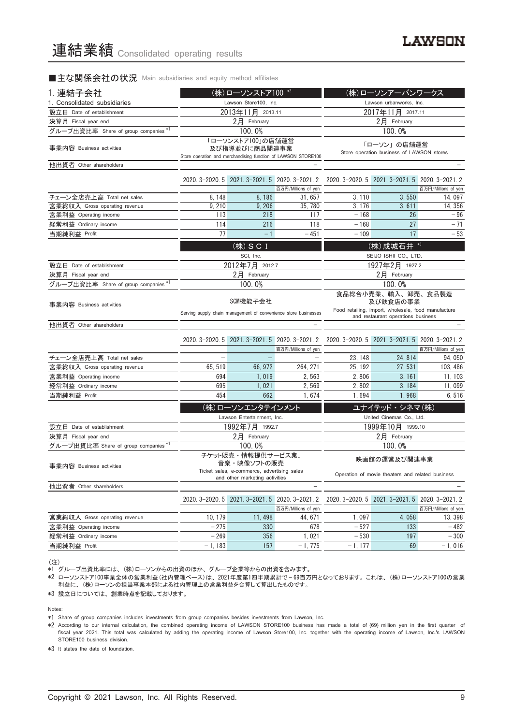#### ■主な関係会社の状況 Main subsidiaries and equity method affiliates

| 1. 連結子会社                             |                                                                             | (株)ローソンストア100 *2                                                              |                                                                        | (株)ローソンアーバンワークス                                                                                                             |                                                  |                               |  |
|--------------------------------------|-----------------------------------------------------------------------------|-------------------------------------------------------------------------------|------------------------------------------------------------------------|-----------------------------------------------------------------------------------------------------------------------------|--------------------------------------------------|-------------------------------|--|
| 1. Consolidated subsidiaries         |                                                                             | Lawson Store100, Inc.                                                         |                                                                        | Lawson urbanworks, Inc.                                                                                                     |                                                  |                               |  |
| 設立日 Date of establishment            |                                                                             | 2013年11月 2013.11                                                              |                                                                        | 2017年11月 2017.11                                                                                                            |                                                  |                               |  |
| 決算月 Fiscal year end                  |                                                                             | 2月 February                                                                   |                                                                        | 2月 February                                                                                                                 |                                                  |                               |  |
| グループ出資比率 Share of group companies *1 |                                                                             | 100.0%                                                                        |                                                                        | 100.0%                                                                                                                      |                                                  |                               |  |
| 事業内容 Business activities             |                                                                             | 「ローソンストア100」の店舗運営<br>及び指導並びに商品関連事業                                            | Store operation and merchandising function of LAWSON STORE100          | 「ローソン」の店舗運営<br>Store operation business of LAWSON stores                                                                    |                                                  |                               |  |
| 他出資者 Other shareholders              |                                                                             |                                                                               |                                                                        |                                                                                                                             |                                                  |                               |  |
|                                      |                                                                             |                                                                               | 2020. 3-2020. 5 2021. 3-2021. 5 2020. 3-2021. 2                        |                                                                                                                             | 2020. 3-2020. 5 2021. 3-2021. 5 2020. 3-2021. 2  |                               |  |
| チェーン全店売上高 Total net sales            | 8, 148                                                                      | 8,186                                                                         | 百万円/Millions of yen<br>31.657                                          | 3, 110                                                                                                                      | 3,550                                            | 百万円/Millions of yen<br>14.097 |  |
| 営業総収入 Gross operating revenue        | 9,210                                                                       | 9, 206                                                                        | 35, 780                                                                | 3, 176                                                                                                                      | 3,611                                            | 14, 356                       |  |
| 営業利益 Operating income                | 113                                                                         | 218                                                                           | 117                                                                    | $-168$                                                                                                                      | 26                                               | $-96$                         |  |
| 経常利益 Ordinary income                 | 114                                                                         | 216                                                                           | 118                                                                    | $-168$                                                                                                                      | 27                                               | $-71$                         |  |
| 当期純利益 Profit                         | 77                                                                          | $-1$                                                                          | $-451$                                                                 | $-109$                                                                                                                      | 17                                               | $-53$                         |  |
|                                      |                                                                             |                                                                               |                                                                        |                                                                                                                             |                                                  |                               |  |
|                                      |                                                                             | $($ 株 $)$ S C I<br>SCI, Inc.                                                  |                                                                        |                                                                                                                             | (株) 成城石井 *3<br>SEIJO ISHII CO., LTD.             |                               |  |
| 設立日 Date of establishment            |                                                                             | 2012年7月 2012.7                                                                |                                                                        |                                                                                                                             | 1927年2月 1927.2                                   |                               |  |
| 決算月 Fiscal year end                  |                                                                             | $2$ 月 February                                                                |                                                                        | $2$ 月 February                                                                                                              |                                                  |                               |  |
| グループ出資比率 Share of group companies *1 |                                                                             | 100.0%                                                                        |                                                                        | 100.0%                                                                                                                      |                                                  |                               |  |
| 事業内容 Business activities             | SCM機能子会社<br>Serving supply chain management of convenience store businesses |                                                                               |                                                                        | 食品総合小売業、輸入、卸売、食品製造<br>及び飲食店の事業<br>Food retailing, import, wholesale, food manufacture<br>and restaurant operations business |                                                  |                               |  |
| 他出資者 Other shareholders              |                                                                             |                                                                               |                                                                        |                                                                                                                             |                                                  |                               |  |
|                                      |                                                                             |                                                                               | 2020. 3-2020. 5 2021. 3-2021. 5 2020. 3-2021. 2<br>百万円/Millions of yen |                                                                                                                             | 2020. 3-2020. 5 2021. 3-2021. 5 2020. 3-2021. 2  | 百万円/Millions of yen           |  |
| チェーン全店売上高 Total net sales            |                                                                             |                                                                               |                                                                        | 23, 148                                                                                                                     | 24, 814                                          | 94,050                        |  |
| 営業総収入 Gross operating revenue        | 65, 519                                                                     | 66, 972                                                                       | 264, 271                                                               | 25, 192                                                                                                                     | 27, 531                                          | 103, 486                      |  |
| 営業利益 Operating income                | 694                                                                         | 1,019                                                                         | 2,563                                                                  | 2,806                                                                                                                       | 3, 161                                           | 11, 103                       |  |
| 経常利益 Ordinary income                 | 695                                                                         | 1,021                                                                         | 2,569                                                                  | 2,802                                                                                                                       | 3, 184                                           | 11,099                        |  |
| 当期純利益 Profit                         | 454                                                                         | 662                                                                           | 1,674                                                                  | 1,694                                                                                                                       | 1,968                                            | 6,516                         |  |
|                                      |                                                                             | (株)ローソンエンタテインメント                                                              |                                                                        |                                                                                                                             | ユナイテッド·シネマ(株)                                    |                               |  |
|                                      |                                                                             | Lawson Entertainment, Inc.                                                    |                                                                        |                                                                                                                             | United Cinemas Co., Ltd.                         |                               |  |
| 設立日 Date of establishment            |                                                                             | 1992年7月 1992.7                                                                |                                                                        |                                                                                                                             | 1999年10月 1999.10                                 |                               |  |
| 決算月 Fiscal year end                  |                                                                             | 2月 February                                                                   |                                                                        |                                                                                                                             | 2月 February                                      |                               |  |
| グループ出資比率 Share of group companies *1 |                                                                             | 100.0%                                                                        |                                                                        |                                                                                                                             | 100.0%                                           |                               |  |
|                                      |                                                                             | チケット販売・情報提供サービス業、<br>音楽・映像ソフトの販売                                              |                                                                        |                                                                                                                             | 映画館の運営及び関連事業                                     |                               |  |
| 事業内容 Business activities             |                                                                             | Ticket sales, e-commerce, advertising saies<br>and other marketing activities |                                                                        |                                                                                                                             | Operation of movie theaters and related business |                               |  |
| 他出資者 Other shareholders              |                                                                             |                                                                               |                                                                        |                                                                                                                             |                                                  |                               |  |
|                                      |                                                                             | 2020. 3-2020. 5 2021. 3-2021. 5 2020. 3-2021. 2                               |                                                                        |                                                                                                                             | 2020. 3-2020. 5 2021. 3-2021. 5 2020. 3-2021. 2  |                               |  |
|                                      |                                                                             |                                                                               | 百万円/Millions of yen                                                    |                                                                                                                             |                                                  | 百万円/Millions of yen           |  |
| 営業総収入 Gross operating revenue        | 10, 179                                                                     | 11, 498                                                                       | 44, 671                                                                | 1,097                                                                                                                       | 4,058                                            | 13, 398                       |  |
| 営業利益 Operating income                | $-275$                                                                      | 330                                                                           | 678                                                                    | $-527$                                                                                                                      | 133                                              | $-482$                        |  |
| 経常利益 Ordinary income                 | $-269$                                                                      | 356                                                                           | 1,021                                                                  | $-530$                                                                                                                      | 197                                              | $-300$                        |  |

(注)

\*1 グループ出資比率には、 (株)ローソンからの出資のほか、 グループ企業等からの出資を含みます。

\*2 ローソンストア100事業全体の営業利益(社内管理ベース)は、 2021年度第1四半期累計で — 69百万円となっております。 これは、 (株)ローソンストア100の営業 利益に、 (株)ローソンの担当事業本部による社内管理上の営業利益を合算して算出したものです。

当期純利益 Profit - 1, 183 157 -1, 775 -1, 177 69 -1, 016

\*3 設立日については、 創業時点を記載しております。

Notes:

\*1 Share of group companies includes investments from group companies besides investments from Lawson, Inc.

\*2 According to our internal calculation, the combined operating income of LAWSON STORE100 business has made a total of (69) million yen in the first quarter of fiscal year 2021. This total was calculated by adding the operating income of Lawson Store100, Inc. together with the operating income of Lawson, Inc.'s LAWSON STORE100 business division.

\*3 It states the date of foundation.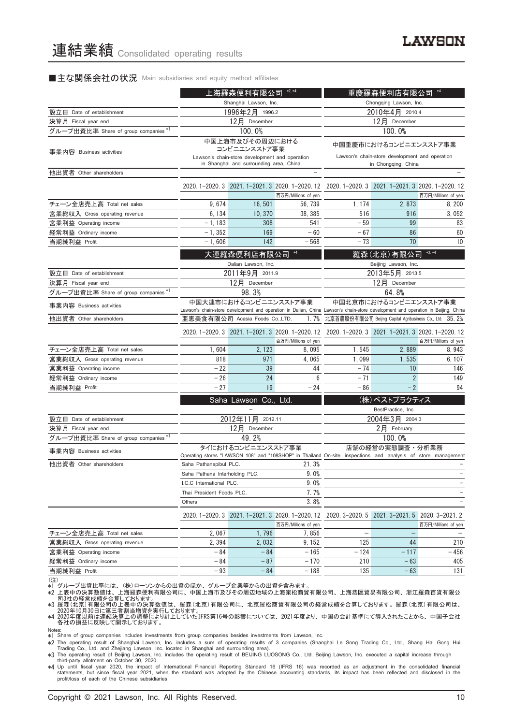#### ■主な関係会社の状況 Main subsidiaries and equity method affiliates

|                                      |                                        | 上海羅森便利有限公司                                                                                | $*2, *4$                                         | $*4$<br>重慶羅森便利店有限公司                                                                                                                                       |                                                 |                     |  |
|--------------------------------------|----------------------------------------|-------------------------------------------------------------------------------------------|--------------------------------------------------|-----------------------------------------------------------------------------------------------------------------------------------------------------------|-------------------------------------------------|---------------------|--|
|                                      |                                        | Shanghai Lawson, Inc.                                                                     |                                                  |                                                                                                                                                           | Chongqing Lawson, Inc.                          |                     |  |
| 設立日 Date of establishment            |                                        | 1996年2月 1996.2                                                                            |                                                  | 2010年4月 2010.4                                                                                                                                            |                                                 |                     |  |
| 決算月 Fiscal year end                  |                                        | 12月 December                                                                              |                                                  | 12月 December                                                                                                                                              |                                                 |                     |  |
| グループ出資比率 Share of group companies*1  |                                        | 100.0%                                                                                    |                                                  | 100.0%                                                                                                                                                    |                                                 |                     |  |
| 事業内容 Business activities             |                                        | 中国上海市及びその周辺における<br>コンビニエンスストア事業                                                           |                                                  | 中国重慶市におけるコンビニエンスストア事業                                                                                                                                     |                                                 |                     |  |
|                                      |                                        | Lawson's chain-store development and operation<br>in Shanghai and surrounding area, China |                                                  |                                                                                                                                                           | Lawson's chain-store development and operation  |                     |  |
| 他出資者 Other shareholders              |                                        |                                                                                           |                                                  |                                                                                                                                                           | in Chongqing, China                             |                     |  |
|                                      |                                        |                                                                                           |                                                  |                                                                                                                                                           |                                                 |                     |  |
|                                      |                                        |                                                                                           |                                                  | 2020. 1-2020. 3 2021. 1-2021. 3 2020. 1-2020. 12 2020. 1-2020. 3 2021. 1-2021. 3 2020. 1-2020. 12                                                         |                                                 |                     |  |
|                                      |                                        |                                                                                           | 百万円/Millions of yen                              |                                                                                                                                                           |                                                 | 百万円/Millions of yen |  |
| チェーン全店売上高 Total net sales            | 9,674                                  | 16,501                                                                                    | 56, 739                                          | 1, 174                                                                                                                                                    | 2,873                                           | 8, 200              |  |
| 営業総収入 Gross operating revenue        | 6, 134                                 | 10, 370                                                                                   | 38, 385                                          | 516                                                                                                                                                       | 916                                             | 3,052               |  |
| 営業利益 Operating income                | $-1, 183$                              | 308                                                                                       | 541                                              | $-59$                                                                                                                                                     | 99                                              | 83                  |  |
| 経常利益 Ordinary income                 | $-1,352$                               | 169                                                                                       | $-60$                                            | $-67$                                                                                                                                                     | 86                                              | 60                  |  |
| 当期純利益 Profit                         | $-1,606$                               | 142                                                                                       | $-568$                                           | - 73                                                                                                                                                      | 70                                              | 10                  |  |
|                                      |                                        | 大連羅森便利店有限公司                                                                               |                                                  |                                                                                                                                                           | 羅森(北京)有限公司                                      | $*3, *4$            |  |
|                                      |                                        | Dalian Lawson, Inc.                                                                       |                                                  |                                                                                                                                                           | Beijing Lawson, Inc.                            |                     |  |
| 設立日 Date of establishment            |                                        | 2011年9月 2011.9                                                                            |                                                  |                                                                                                                                                           | 2013年5月 2013.5                                  |                     |  |
| 決算月 Fiscal year end                  |                                        | 12月 December                                                                              |                                                  |                                                                                                                                                           | 12月 December                                    |                     |  |
| グループ出資比率 Share of group companies *1 |                                        | 98.3%                                                                                     |                                                  | 64.8%                                                                                                                                                     |                                                 |                     |  |
| 事業内容 Business activities             | 中国大連市におけるコンビニエンスストア事業                  |                                                                                           |                                                  | 中国北京市におけるコンビニエンスストア事業<br>Lawson's chain-store development and operation in Dalian, China Lawson's chain-store development and operation in Beijing, China |                                                 |                     |  |
| 他出資者 Other shareholders              | 亜恵美食有限公司 Acasia Foods Co.,LTD.<br>1.7% |                                                                                           |                                                  | 北京首農股份有限公司 Beijing Capital Agribusiness Co., Ltd. 35.2%                                                                                                   |                                                 |                     |  |
|                                      |                                        |                                                                                           | 2020. 1-2020. 3 2021. 1-2021. 3 2020. 1-2020. 12 | 2020. 1-2020. 3 2021. 1-2021. 3 2020. 1-2020. 12                                                                                                          |                                                 |                     |  |
|                                      |                                        |                                                                                           | 百万円/Millions of yen                              |                                                                                                                                                           |                                                 | 百万円/Millions of yen |  |
| チェーン全店売上高 Total net sales            | 1,604                                  | 2, 123                                                                                    | 8,095                                            | 1,545                                                                                                                                                     | 2.889                                           | 8,943               |  |
| 営業総収入 Gross operating revenue        | 818                                    | 971                                                                                       | 4,065                                            | 1,099                                                                                                                                                     | 1,535                                           | 6, 107              |  |
| 営業利益 Operating income                | $-22$                                  | 39                                                                                        | 44                                               | $-74$                                                                                                                                                     | 10                                              | 146                 |  |
| 経常利益 Ordinary income                 | $-26$                                  | 24                                                                                        | 6                                                | $-71$                                                                                                                                                     | $\overline{2}$                                  | 149                 |  |
| 当期純利益 Profit                         | $-27$                                  | 19                                                                                        | $-24$                                            | $-86$                                                                                                                                                     | $-2$                                            | 94                  |  |
|                                      |                                        | Saha Lawson Co., Ltd.                                                                     |                                                  |                                                                                                                                                           | (株) ベストプラクティス                                   |                     |  |
|                                      |                                        |                                                                                           |                                                  |                                                                                                                                                           | BestPractice, Inc.                              |                     |  |
| 設立日 Date of establishment            |                                        | 2012年11月 2012.11                                                                          |                                                  |                                                                                                                                                           | 2004年3月 2004.3                                  |                     |  |
| 決算月 Fiscal year end                  |                                        | 12月 December                                                                              |                                                  |                                                                                                                                                           | 2月 February                                     |                     |  |
| グループ出資比率 Share of group companies *1 |                                        | 49.2%                                                                                     |                                                  |                                                                                                                                                           | 100.0%                                          |                     |  |
| 事業内容 Business activities             |                                        | タイにおけるコンビニエンスストア事業                                                                        |                                                  |                                                                                                                                                           | 店舗の経営の実態調査・分析業務                                 |                     |  |
|                                      |                                        |                                                                                           |                                                  | Operating stores "LAWSON 108" and "108SHOP" in Thailand On-site inspections and analysis of store management                                              |                                                 |                     |  |
| 他出資者 Other shareholders              | Saha Pathanapibul PLC.                 |                                                                                           | 21.3%                                            |                                                                                                                                                           |                                                 |                     |  |
|                                      | Saha Pathana Interholding PLC.         |                                                                                           | 9.0%                                             |                                                                                                                                                           |                                                 |                     |  |
|                                      | I.C.C International PLC.               |                                                                                           | 9.0%                                             |                                                                                                                                                           |                                                 |                     |  |
|                                      | Thai President Foods PLC.              |                                                                                           | 7.7%                                             |                                                                                                                                                           |                                                 |                     |  |
|                                      | Others                                 |                                                                                           | 3.8%                                             |                                                                                                                                                           |                                                 |                     |  |
|                                      |                                        |                                                                                           | 2020. 1-2020. 3 2021. 1-2021. 3 2020. 1-2020. 12 |                                                                                                                                                           | 2020. 3-2020. 5 2021. 3-2021. 5 2020. 3-2021. 2 |                     |  |
|                                      |                                        |                                                                                           | 百万円/Millions of yen                              |                                                                                                                                                           |                                                 | 百万円/Millions of yen |  |
| チェーン全店売上高 Total net sales            | 2,067                                  | 1,796                                                                                     | 7,856                                            | $\overline{\phantom{0}}$                                                                                                                                  | $\overline{\phantom{0}}$                        |                     |  |
| 営業総収入 Gross operating revenue        | 2,394                                  | 2,032                                                                                     | 9, 152                                           | 125                                                                                                                                                       | 44                                              | 210                 |  |
| 営業利益 Operating income                | - 84                                   | $-84$                                                                                     | $-165$                                           | $-124$                                                                                                                                                    | $-117$                                          | - 456               |  |
| 経常利益 Ordinary income                 | - 84                                   | $-87$                                                                                     | $-170$                                           | 210                                                                                                                                                       | $-63$                                           | 405                 |  |
| 当期純利益 Profit                         | - 93                                   | $-84$                                                                                     | - 188                                            | 135                                                                                                                                                       | $-63$                                           | 131                 |  |
| (注)                                  |                                        |                                                                                           |                                                  |                                                                                                                                                           |                                                 |                     |  |

(注) \*1 グループ出資比率には、 (株)ローソンからの出資のほか、 グループ企業等からの出資を含みます。

\*2 上表中の決算数値は、上海羅森便利有限公司に、中国上海市及びその周辺地域の上海楽松商貿有限公司、上海恭匯貿易有限公司、浙江羅森百貨有限公<br>- 司3社の経営成績を合算しております。<br>\*3 羅森(北京)有限公司の上表中の決算数値は、羅森(北京)有限公司に、北京羅松商貿有限公司の経営成績を合算しております。羅森(北京)有限公司は、<br>\*4 2020年10月30日に第三者割当増資を実行しております。<br>\*4 2020年度月前に反映して開示してお

Notes: \*1 Share of group companies includes investments from group companies besides investments from Lawson, Inc.

∗2 The operating result of Shanghai Lawson, Inc. includes a sum of operating results of 3 companies (Shanghai Le Song Trading Co., Ltd., Shang Hai Gong Hui<br>Trading Co., Ltd. and Zhejiang Lawson, Inc. located in Shanghai a

\*3 The operating result of Beijing Lawson, Inc. includes the operating result of BEIJING LUOSONG Co., Ltd. Beijing Lawson, Inc. executed a capital increase through

third-party allotment on October 30, 2020.<br>\*4 Up until fiscal year 2020, the impact of International Financial Reporting Standard 16 (IFRS 16) was recorded as an adjustment in the consolidated financial<br>statements, but sin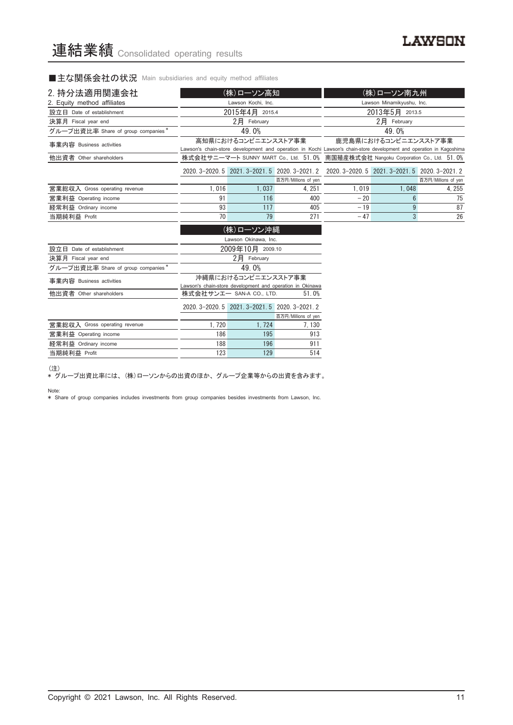■主な関係会社の状況 Main subsidiaries and equity method affiliates

| 2. 持分法適用関連会社                       |                                                                                                 | (株)ローソン高知                                       |                                                           |                                                                                                                     | (株)ローソン南九州           |        |
|------------------------------------|-------------------------------------------------------------------------------------------------|-------------------------------------------------|-----------------------------------------------------------|---------------------------------------------------------------------------------------------------------------------|----------------------|--------|
| 2. Equity method affiliates        |                                                                                                 | Lawson Kochi, Inc.                              |                                                           | Lawson Minamikyushu, Inc.                                                                                           |                      |        |
| 設立日 Date of establishment          |                                                                                                 | 2015年4月 2015.4                                  |                                                           | 2013年5月 2013.5                                                                                                      |                      |        |
| 決算月 Fiscal year end                |                                                                                                 | $2$ $H$ February                                |                                                           |                                                                                                                     | 2月 February          |        |
| グループ出資比率 Share of group companies* |                                                                                                 | 49.0%                                           |                                                           |                                                                                                                     | 49.0%                |        |
| 事業内容 Business activities           |                                                                                                 | 高知県におけるコンビニエンスストア事業                             |                                                           | Lawson's chain-store development and operation in Kochi Lawson's chain-store development and operation in Kagoshima | 鹿児島県におけるコンビニエンスストア事業 |        |
| 他出資者 Other shareholders            |                                                                                                 |                                                 |                                                           | 株式会社サニーマート SUNNY MART Co., Ltd. 51.0% 南国殖産株式会社 Nangoku Corporation Co., Ltd. 51.0%                                  |                      |        |
|                                    | 2020. 3-2020. 5 2021. 3-2021. 5 2020. 3-2021. 2 2020. 3-2020. 5 2021. 3-2021. 5 2020. 3-2021. 2 |                                                 |                                                           |                                                                                                                     |                      |        |
|                                    |                                                                                                 |                                                 | 百万円/Millions of yen                                       |                                                                                                                     | 百万円/Millions of yen  |        |
| 営業総収入 Gross operating revenue      | 1,016                                                                                           | 1.037                                           | 4.251                                                     | 1.019                                                                                                               | 1.048                | 4, 255 |
| 営業利益 Operating income              | 91                                                                                              | 116                                             | 400                                                       | $-20$                                                                                                               | 6                    | 75     |
| 経常利益 Ordinary income               | 93                                                                                              | 117                                             | 405                                                       | $-19$                                                                                                               | 9                    | 87     |
| 当期純利益 Profit                       | 70                                                                                              | 79                                              | 271                                                       | $-47$                                                                                                               | $\overline{3}$       | 26     |
|                                    |                                                                                                 | (株)ローソン沖縄                                       |                                                           |                                                                                                                     |                      |        |
|                                    |                                                                                                 | Lawson Okinawa, Inc.                            |                                                           |                                                                                                                     |                      |        |
| 設立日 Date of establishment          |                                                                                                 | 2009年10月 2009.10                                |                                                           |                                                                                                                     |                      |        |
| 決算月 Fiscal year end                |                                                                                                 | 2月 February                                     |                                                           |                                                                                                                     |                      |        |
| グループ出資比率 Share of group companies* |                                                                                                 | 49.0%                                           |                                                           |                                                                                                                     |                      |        |
| 事業内容 Business activities           |                                                                                                 | 沖縄県におけるコンビニエンスストア事業                             | Lawson's chain-store development and operation in Okinawa |                                                                                                                     |                      |        |
| 他出資者 Other shareholders            |                                                                                                 | 株式会社サンエー SAN-A CO., LTD.                        | 51.0%                                                     |                                                                                                                     |                      |        |
|                                    |                                                                                                 | 2020. 3-2020. 5 2021. 3-2021. 5 2020. 3-2021. 2 |                                                           |                                                                                                                     |                      |        |
|                                    |                                                                                                 |                                                 | 百万円/Millions of yen                                       |                                                                                                                     |                      |        |
| 営業総収入 Gross operating revenue      | 1.720                                                                                           | 1.724                                           | 7, 130                                                    |                                                                                                                     |                      |        |

|                               |     |     | 百万円/Millions of yen |
|-------------------------------|-----|-----|---------------------|
| 営業総収入 Gross operating revenue | 720 | 724 | 130                 |
| 営業利益 Operating income         | 186 | 195 | 913                 |
| 経常利益 Ordinary income          | 188 | 196 | 911                 |
| 当期純利益 Profit                  | 123 | 129 | 514                 |

(注)

\* グループ出資比率には、 (株)ローソンからの出資のほか、 グループ企業等からの出資を含みます。

Note:

\* Share of group companies includes investments from group companies besides investments from Lawson, Inc.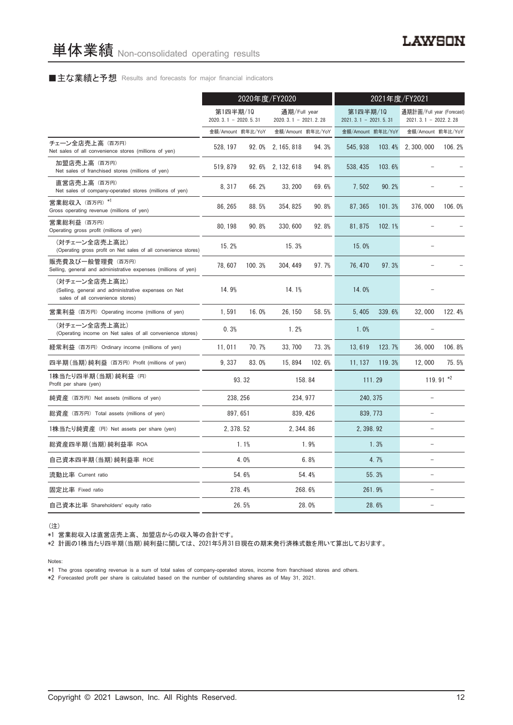### ■主な業績と予想 Results and forecasts for major financial indicators

|                                                                                                           |                                    | 2020年度/FY2020 |                                        |          | 2021年度/FY2021                      |        |                                                   |             |
|-----------------------------------------------------------------------------------------------------------|------------------------------------|---------------|----------------------------------------|----------|------------------------------------|--------|---------------------------------------------------|-------------|
|                                                                                                           | 第1四半期/10<br>$2020.3.1 - 2020.5.31$ |               | 通期/Full year<br>$2020.3.1 - 2021.2.28$ |          | 第1四半期/10<br>$2021.3.1 - 2021.5.31$ |        | 通期計画/Full year (Forecast)<br>2021.3.1 - 2022.2.28 |             |
|                                                                                                           | 金額/Amount 前年比/YoY                  |               | 金額/Amount 前年比/YoY                      |          | 金額/Amount 前年比/YoY                  |        | 金額/Amount 前年比/YoY                                 |             |
| チェーン全店売上高 (百万円)<br>Net sales of all convenience stores (millions of yen)                                  | 528, 197                           |               | 92.0% 2.165.818                        | 94.3%    | 545.938                            | 103.4% | 2, 300, 000                                       | 106.2%      |
| 加盟店売上高(百万円)<br>Net sales of franchised stores (millions of yen)                                           | 519, 879                           |               | 92.6% 2, 132, 618                      | 94.8%    | 538, 435                           | 103.6% |                                                   |             |
| 直営店売上高(百万円)<br>Net sales of company-operated stores (millions of yen)                                     | 8,317                              | 66.2%         | 33, 200                                | 69.6%    | 7,502                              | 90.2%  |                                                   |             |
| 営業総収入 (百万円) *1<br>Gross operating revenue (millions of yen)                                               | 86.265                             | 88.5%         | 354, 825                               | 90.8%    | 87.365                             | 101.3% | 376,000                                           | 106.0%      |
| 営業総利益 (百万円)<br>Operating gross profit (millions of yen)                                                   | 80, 198                            | 90.8%         | 330, 600                               | 92.8%    | 81, 875                            | 102.1% |                                                   |             |
| (対チェーン全店売上高比)<br>(Operating gross profit on Net sales of all convenience stores)                          | 15.2%                              |               | 15.3%                                  |          | 15.0%                              |        |                                                   |             |
| 販売費及び一般管理費 (百万円)<br>Selling, general and administrative expenses (millions of yen)                        | 78,607                             | 100.3%        | 304, 449                               | 97.7%    | 76, 470                            | 97.3%  |                                                   |             |
| (対チェーン全店売上高比)<br>(Selling, general and administrative expenses on Net<br>sales of all convenience stores) | 14.9%                              |               | 14.1%                                  |          | 14.0%                              |        |                                                   |             |
| 営業利益 (百万円) Operating income (millions of yen)                                                             | 1,591                              | 16.0%         | 26, 150                                | 58.5%    | 5,405                              | 339.6% | 32,000                                            | 122.4%      |
| (対チェーン全店売上高比)<br>(Operating income on Net sales of all convenience stores)                                | 0.3%                               |               | 1.2%                                   |          | 1.0%                               |        |                                                   |             |
| 経常利益 (百万円) Ordinary income (millions of yen)                                                              | 11,011                             | 70.7%         | 33, 700                                | 73.3%    | 13,619                             | 123.7% | 36,000                                            | 106.8%      |
| 四半期(当期)純利益 (百万円) Profit (millions of yen)                                                                 | 9.337                              | 83.0%         | 15,894                                 | 102.6%   | 11.137                             | 119.3% | 12,000                                            | 75.5%       |
| 1株当たり四半期 (当期) 純利益 (円)<br>Profit per share (yen)                                                           |                                    | 93.32         |                                        | 158.84   |                                    | 111.29 |                                                   | 119.91 $*2$ |
| 純資産 (百万円) Net assets (millions of yen)                                                                    | 238, 256                           |               |                                        | 234.977  | 240.375                            |        | $\equiv$                                          |             |
| 総資産 (百万円) Total assets (millions of yen)                                                                  | 897, 651                           |               |                                        | 839, 426 | 839, 773                           |        | $\overline{\phantom{m}}$                          |             |
| 1株当たり純資産 (円) Net assets per share (yen)                                                                   | 2.378.52                           |               | 2.344.86                               |          | 2.398.92                           |        | ۳                                                 |             |
| 総資産四半期(当期)純利益率 ROA                                                                                        |                                    | 1.1%          |                                        | 1.9%     |                                    | 1.3%   |                                                   |             |
| 自己資本四半期(当期)純利益率 ROE                                                                                       |                                    | 4.0%          |                                        | 6.8%     |                                    | 4.7%   | $\equiv$                                          |             |
| 流動比率 Current ratio                                                                                        |                                    | 54.6%         |                                        | 54.4%    |                                    | 55.3%  | $\equiv$                                          |             |
| 固定比率 Fixed ratio                                                                                          |                                    | 278.4%        |                                        | 268.6%   |                                    | 261.9% |                                                   |             |
| 自己資本比率 Shareholders' equity ratio                                                                         |                                    | 26.5%         |                                        | 28.0%    |                                    | 28.6%  |                                                   |             |

(注)

\*1 営業総収入は直営店売上高、 加盟店からの収入等の合計です。

\*2 計画の1株当たり四半期(当期)純利益に関しては、 2021年5月31日現在の期末発行済株式数を用いて算出しております。

Notes:

\*1 The gross operating revenue is a sum of total sales of company-operated stores, income from franchised stores and others.

\*2 Forecasted profit per share is calculated based on the number of outstanding shares as of May 31, 2021.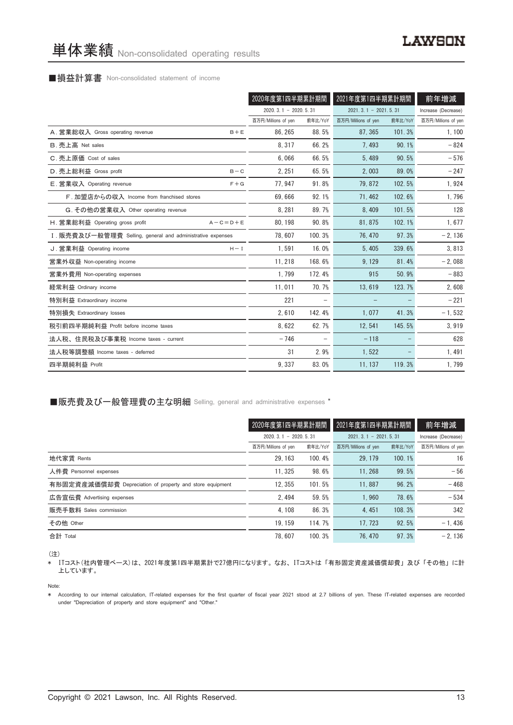#### ■損益計算書 Non-consolidated statement of income

|                                                            | 2020年度第1四半期累計期間        |         | 2021年度第1四半期累計期間        |         | 前年増減                |
|------------------------------------------------------------|------------------------|---------|------------------------|---------|---------------------|
|                                                            | $2020.3.1 - 2020.5.31$ |         | $2021.3.1 - 2021.5.31$ |         | Increase (Decrease) |
|                                                            | 百万円/Millions of yen    | 前年比/YoY | 百万円/Millions of yen    | 前年比/YoY | 百万円/Millions of yen |
| A. 営業総収入 Gross operating revenue<br>$B + E$                | 86.265                 | 88.5%   | 87.365                 | 101.3%  | 1, 100              |
| B. 売上高 Net sales                                           | 8, 317                 | 66.2%   | 7.493                  | 90.1%   | $-824$              |
| C. 売上原価 Cost of sales                                      | 6.066                  | 66.5%   | 5.489                  | 90.5%   | $-576$              |
| D. 売上総利益 Gross profit<br>$B - C$                           | 2, 251                 | 65.5%   | 2,003                  | 89.0%   | $-247$              |
| E. 営業収入 Operating revenue<br>$F + G$                       | 77, 947                | 91.8%   | 79, 872                | 102.5%  | 1,924               |
| F. 加盟店からの収入 Income from franchised stores                  | 69.666                 | 92.1%   | 71.462                 | 102.6%  | 1,796               |
| G. その他の営業収入 Other operating revenue                        | 8,281                  | 89.7%   | 8,409                  | 101.5%  | 128                 |
| H. 営業総利益 Operating gross profit<br>$A - C = D + E$         | 80.198                 | 90.8%   | 81.875                 | 102.1%  | 1,677               |
| I. 販売費及び一般管理費 Selling, general and administrative expenses | 78.607                 | 100.3%  | 76.470                 | 97.3%   | $-2,136$            |
| J. 営業利益 Operating income<br>$H - I$                        | 1.591                  | 16.0%   | 5.405                  | 339.6%  | 3,813               |
| 営業外収益 Non-operating income                                 | 11, 218                | 168.6%  | 9, 129                 | 81.4%   | $-2,088$            |
| 営業外費用 Non-operating expenses                               | 1.799                  | 172.4%  | 915                    | 50.9%   | $-883$              |
| 経常利益 Ordinary income                                       | 11,011                 | 70.7%   | 13,619                 | 123.7%  | 2,608               |
| 特別利益 Extraordinary income                                  | 221                    |         |                        |         | $-221$              |
| 特別損失 Extraordinary losses                                  | 2,610                  | 142.4%  | 1,077                  | 41.3%   | $-1,532$            |
| 税引前四半期純利益 Profit before income taxes                       | 8,622                  | 62.7%   | 12,541                 | 145.5%  | 3,919               |
| 法人税、住民税及び事業税 Income taxes - current                        | $-746$                 |         | $-118$                 |         | 628                 |
| 法人税等調整額 Income taxes - deferred                            | 31                     | 2.9%    | 1,522                  |         | 1,491               |
| 四半期純利益 Profit                                              | 9.337                  | 83.0%   | 11, 137                | 119.3%  | 1,799               |

■販売費及び一般管理費の主な明細 Selling, general and administrative expenses \*

|                                                          | 2020年度第1四半期累計期間        |         | 2021年度第1四半期累計期間        | 前年増減    |                     |
|----------------------------------------------------------|------------------------|---------|------------------------|---------|---------------------|
|                                                          | $2020.3.1 - 2020.5.31$ |         | $2021.3.1 - 2021.5.31$ |         | Increase (Decrease) |
|                                                          | 百万円/Millions of yen    | 前年比/YoY | 百万円/Millions of yen    | 前年比/YoY | 百万円/Millions of yen |
| 地代家賃 Rents                                               | 29.163                 | 100.4%  | 29.179                 | 100.1%  | 16                  |
| 人件費 Personnel expenses                                   | 11.325                 | 98.6%   | 11.268                 | 99.5%   | $-56$               |
| 有形固定資産減価償却費 Depreciation of property and store equipment | 12.355                 | 101.5%  | 11.887                 | 96.2%   | $-468$              |
| 広告宣伝費 Advertising expenses                               | 2.494                  | 59.5%   | 1.960                  | 78.6%   | $-534$              |
| 販売手数料 Sales commission                                   | 4.108                  | 86.3%   | 4.451                  | 108.3%  | 342                 |
| その他 Other                                                | 19.159                 | 114.7%  | 17.723                 | 92.5%   | $-1.436$            |
| 合計 Total                                                 | 78.607                 | 100.3%  | 76.470                 | 97.3%   | $-2.136$            |

(注)

\* ITコスト(社内管理ベース)は、 2021年度第1四半期累計で27億円になります。 なお、 ITコストは 「有形固定資産減価償却費」 及び 「その他」 に計 上しています。

Note:

\* According to our internal calculation, IT-related expenses for the first quarter of fiscal year 2021 stood at 2.7 billions of yen. These IT-related expenses are recorded under "Depreciation of property and store equipment" and "Other."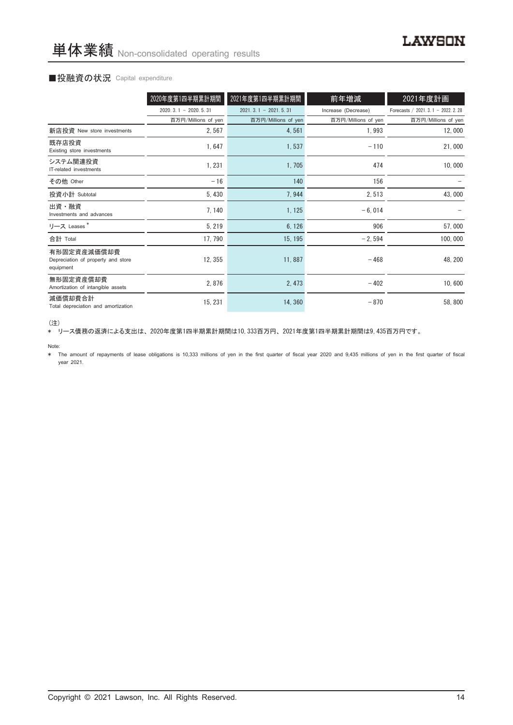### ■投融資の状況 Capital expenditure

|                                                                | 2020年度第1四半期累計期間        | 2021年度第1四半期累計期間        | 前年増減                | 2021年度計画                             |
|----------------------------------------------------------------|------------------------|------------------------|---------------------|--------------------------------------|
|                                                                | $2020.3.1 - 2020.5.31$ | $2021.3.1 - 2021.5.31$ | Increase (Decrease) | Forecasts / 2021. 3. 1 - 2022. 2. 28 |
|                                                                | 百万円/Millions of yen    | 百万円/Millions of yen    | 百万円/Millions of yen | 百万円/Millions of yen                  |
| 新店投資 New store investments                                     | 2,567                  | 4,561                  | 1,993               | 12,000                               |
| 既存店投資<br>Existing store investments                            | 1,647                  | 1,537                  | $-110$              | 21,000                               |
| システム関連投資<br>IT-related investments                             | 1,231                  | 1,705                  | 474                 | 10,000                               |
| その他 Other                                                      | $-16$                  | 140                    | 156                 |                                      |
| 投資小計 Subtotal                                                  | 5,430                  | 7,944                  | 2,513               | 43,000                               |
| 出資・融資<br>Investments and advances                              | 7, 140                 | 1, 125                 | $-6,014$            |                                      |
| リース Leases*                                                    | 5, 219                 | 6, 126                 | 906                 | 57,000                               |
| 合計 Total                                                       | 17, 790                | 15, 195                | $-2,594$            | 100,000                              |
| 有形固定資産減価償却費<br>Depreciation of property and store<br>equipment | 12, 355                | 11,887                 | $-468$              | 48, 200                              |
| 無形固定資産償却費<br>Amortization of intangible assets                 | 2,876                  | 2, 473                 | $-402$              | 10,600                               |
| 減価償却費合計<br>Total depreciation and amortization                 | 15, 231                | 14,360                 | $-870$              | 58,800                               |

<sup>(</sup>注)

\* リース債務の返済による支出は、 2020年度第1四半期累計期間は10,333百万円、 2021年度第1四半期累計期間は9,435百万円です。

Note:

\* The amount of repayments of lease obligations is 10,333 millions of yen in the first quarter of fiscal year 2020 and 9,435 millions of yen in the first quarter of fiscal year 2021.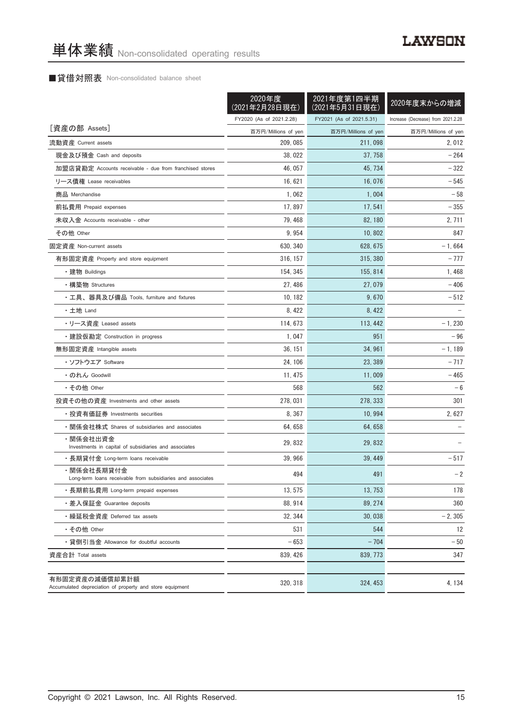# ■貸借対照表 Non-consolidated balance sheet

|                                                                            | 2020年度<br>(2021年2月28日現在) | 2021年度第1四半期<br>(2021年5月31日現在) | 2020年度末からの増減                       |
|----------------------------------------------------------------------------|--------------------------|-------------------------------|------------------------------------|
|                                                                            | FY2020 (As of 2021.2.28) | FY2021 (As of 2021.5.31)      | Increase (Decrease) from 2021.2.28 |
| [資産の部 Assets]                                                              | 百万円/Millions of yen      | 百万円/Millions of yen           | 百万円/Millions of yen                |
| 流動資産 Current assets                                                        | 209, 085                 | 211,098                       | 2,012                              |
| 現金及び預金 Cash and deposits                                                   | 38,022                   | 37, 758                       | - 264                              |
| 加盟店貸勘定 Accounts receivable - due from franchised stores                    | 46, 057                  | 45, 734                       | - 322                              |
| リース債権 Lease receivables                                                    | 16.621                   | 16,076                        | $-545$                             |
| 商品 Merchandise                                                             | 1,062                    | 1,004                         | $-58$                              |
| 前払費用 Prepaid expenses                                                      | 17,897                   | 17, 541                       | - 355                              |
| 未収入金 Accounts receivable - other                                           | 79, 468                  | 82, 180                       | 2, 711                             |
| その他 Other                                                                  | 9,954                    | 10, 802                       | 847                                |
| 固定資産 Non-current assets                                                    | 630, 340                 | 628, 675                      | $-1,664$                           |
| 有形固定資産 Property and store equipment                                        | 316, 157                 | 315, 380                      | $-777$                             |
| ・建物 Buildings                                                              | 154, 345                 | 155, 814                      | 1,468                              |
| ・構築物 Structures                                                            | 27, 486                  | 27,079                        | $-406$                             |
| ・工具、器具及び備品 Tools, furniture and fixtures                                   | 10, 182                  | 9,670                         | $-512$                             |
| ・土地 Land                                                                   | 8,422                    | 8, 422                        |                                    |
| • リース資産 Leased assets                                                      | 114, 673                 | 113, 442                      | $-1,230$                           |
| ・建設仮勘定 Construction in progress                                            | 1.047                    | 951                           | $-96$                              |
| 無形固定資産 Intangible assets                                                   | 36, 151                  | 34, 961                       | $-1,189$                           |
| ・ソフトウエア Software                                                           | 24, 106                  | 23, 389                       | - 717                              |
| ・のれん Goodwill                                                              | 11, 475                  | 11,009                        | - 465                              |
| ・その他 Other                                                                 | 568                      | 562                           | $-6$                               |
| 投資その他の資産 Investments and other assets                                      | 278, 031                 | 278, 333                      | 301                                |
| ・投資有価証券 Investments securities                                             | 8, 367                   | 10, 994                       | 2,627                              |
| ・関係会社株式 Shares of subsidiaries and associates                              | 64, 658                  | 64, 658                       |                                    |
| ・関係会社出資金<br>Investments in capital of subsidiaries and associates          | 29, 832                  | 29, 832                       |                                    |
| ・長期貸付金 Long-term loans receivable                                          | 39,966                   | 39, 449                       | - 517                              |
| ・関係会社長期貸付金<br>Long-term loans receivable from subsidiaries and associates  | 494                      | 491                           | $-2$                               |
| ・長期前払費用 Long-term prepaid expenses                                         | 13, 575                  | 13, 753                       | 178                                |
| ・差入保証金 Guarantee deposits                                                  | 88.914                   | 89, 274                       | 360                                |
| ・繰延税金資産 Deferred tax assets                                                | 32, 344                  | 30,038                        | $-2, 305$                          |
| ・その他 Other                                                                 | 531                      | 544                           | 12                                 |
| ・貸倒引当金 Allowance for doubtful accounts                                     | $-653$                   | $-704$                        | $-50$                              |
| 資産合計 Total assets                                                          | 839, 426                 | 839.773                       | 347                                |
| 有形固定資産の減価償却累計額<br>Accumulated depreciation of property and store equipment | 320, 318                 | 324, 453                      | 4, 134                             |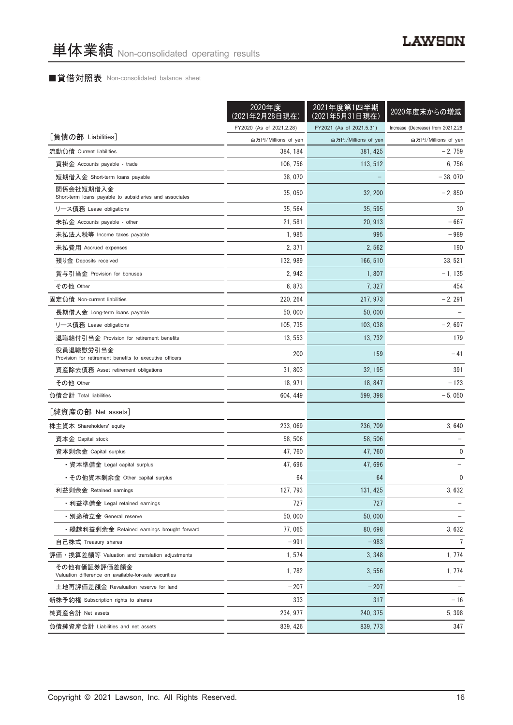# ■貸借対照表 Non-consolidated balance sheet

|                                                                       | 2020年度<br><u>(2021</u> 年2月28日現在) | 2021年度第1四半期<br>(2021年5月31日現在) | 2020年度末からの増減                       |
|-----------------------------------------------------------------------|----------------------------------|-------------------------------|------------------------------------|
|                                                                       | FY2020 (As of 2021.2.28)         | FY2021 (As of 2021.5.31)      | Increase (Decrease) from 2021.2.28 |
| [負債の部 Liabilities]                                                    | 百万円/Millions of yen              | 百万円/Millions of yen           | 百万円/Millions of yen                |
| 流動負債 Current liabilities                                              | 384, 184                         | 381, 425                      | $-2,759$                           |
| 買掛金 Accounts payable - trade                                          | 106, 756                         | 113, 512                      | 6,756                              |
| 短期借入金 Short-term loans payable                                        | 38,070                           |                               | $-38,070$                          |
| 関係会社短期借入金<br>Short-term loans payable to subsidiaries and associates  | 35,050                           | 32, 200                       | $-2,850$                           |
| リース債務 Lease obligations                                               | 35, 564                          | 35, 595                       | 30                                 |
| 未払金 Accounts payable - other                                          | 21, 581                          | 20, 913                       | $-667$                             |
| 未払法人税等 Income taxes payable                                           | 1,985                            | 995                           | $-989$                             |
| 未払費用 Accrued expenses                                                 | 2, 371                           | 2,562                         | 190                                |
| 預り金 Deposits received                                                 | 132, 989                         | 166, 510                      | 33, 521                            |
| 賞与引当金 Provision for bonuses                                           | 2,942                            | 1,807                         | $-1, 135$                          |
| その他 Other                                                             | 6,873                            | 7, 327                        | 454                                |
| 固定負債 Non-current liabilities                                          | 220, 264                         | 217, 973                      | $-2, 291$                          |
| 長期借入金 Long-term loans payable                                         | 50,000                           | 50,000                        |                                    |
| リース債務 Lease obligations                                               | 105.735                          | 103, 038                      | $-2,697$                           |
| 退職給付引当金 Provision for retirement benefits                             | 13, 553                          | 13, 732                       | 179                                |
| 役員退職慰労引当金<br>Provision for retirement benefits to executive officers  | 200                              | 159                           | $-41$                              |
| 資産除去債務 Asset retirement obligations                                   | 31,803                           | 32, 195                       | 391                                |
| その他 Other                                                             | 18, 971                          | 18, 847                       | $-123$                             |
| 負債合計 Total liabilities                                                | 604, 449                         | 599, 398                      | $-5,050$                           |
| [純資産の部 Net assets]                                                    |                                  |                               |                                    |
| 株主資本 Shareholders' equity                                             | 233, 069                         | 236, 709                      | 3,640                              |
| 資本金 Capital stock                                                     | 58, 506                          | 58.506                        |                                    |
| 資本剰余金 Capital surplus                                                 | 47.760                           | 47, 760                       | 0                                  |
| ・資本準備金 Legal capital surplus                                          | 47,696                           | 47,696                        |                                    |
| ・その他資本剰余金 Other capital surplus                                       | 64                               | 64                            | 0                                  |
| 利益剰余金 Retained earnings                                               | 127, 793                         | 131, 425                      | 3,632                              |
| ・利益準備金 Legal retained earnings                                        | 727                              | 727                           |                                    |
| ・別途積立金 General reserve                                                | 50,000                           | 50,000                        |                                    |
| ・繰越利益剰余金 Retained earnings brought forward                            | 77,065                           | 80,698                        | 3,632                              |
| 自己株式 Treasury shares                                                  | $-991$                           | $-983$                        | $\overline{7}$                     |
| 評価・換算差額等 Valuation and translation adjustments                        | 1,574                            | 3,348                         | 1,774                              |
| その他有価証券評価差額金<br>Valuation difference on available-for-sale securities | 1,782                            | 3,556                         | 1,774                              |
| 土地再評価差額金 Revaluation reserve for land                                 | $-207$                           | $-207$                        |                                    |
| 新株予約権 Subscription rights to shares                                   | 333                              | 317                           | $-16$                              |
| 純資産合計 Net assets                                                      | 234, 977                         | 240, 375                      | 5,398                              |
| 負債純資産合計 Liabilities and net assets                                    | 839, 426                         | 839, 773                      | 347                                |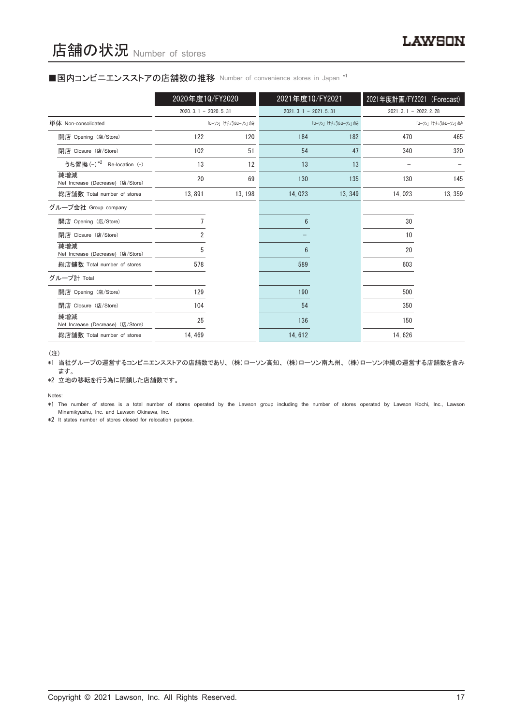#### ■国内コンビニエンスストアの店舗数の推移 Number of convenience stores in Japan \*1

|                                          | 2020年度10/FY2020        |                     | 2021年度10/FY2021        |                     | 2021年度計画/FY2021 (Forecast) |                     |
|------------------------------------------|------------------------|---------------------|------------------------|---------------------|----------------------------|---------------------|
|                                          | $2020.3.1 - 2020.5.31$ |                     | $2021.3.1 - 2021.5.31$ |                     | $2021.3.1 - 2022.2.28$     |                     |
| 単体 Non-consolidated                      |                        | 「ローソン」「ナチュラルローソン」のみ |                        | 「ローソン」「ナチュラルローソン」のみ |                            | 「ローソン」「ナチュラルローソン」のみ |
| 開店 Opening (店/Store)                     | 122                    | 120                 | 184                    | 182                 | 470                        | 465                 |
| 閉店 Closure (店/Store)                     | 102                    | 51                  | 54                     | 47                  | 340                        | 320                 |
| うち置換 (-) *2 Re-location (-)              | 13                     | 12                  | 13                     | 13                  |                            |                     |
| 純増減<br>Net Increase (Decrease) (店/Store) | 20                     | 69                  | 130                    | 135                 | 130                        | 145                 |
| 総店舗数 Total number of stores              | 13,891                 | 13, 198             | 14,023                 | 13, 349             | 14,023                     | 13, 359             |
| グループ会社 Group company                     |                        |                     |                        |                     |                            |                     |
| 開店 Opening (店/Store)                     |                        |                     | 6                      |                     | 30                         |                     |
| 閉店 Closure (店/Store)                     | 2                      |                     |                        |                     | 10                         |                     |
| 純増減<br>Net Increase (Decrease) (店/Store) | 5                      |                     | 6                      |                     | 20                         |                     |
| 総店舗数 Total number of stores              | 578                    |                     | 589                    |                     | 603                        |                     |
| グループ計 Total                              |                        |                     |                        |                     |                            |                     |
| 開店 Opening (店/Store)                     | 129                    |                     | 190                    |                     | 500                        |                     |
| 閉店 Closure (店/Store)                     | 104                    |                     | 54                     |                     | 350                        |                     |
| 純増減<br>Net Increase (Decrease) (店/Store) | 25                     |                     | 136                    |                     | 150                        |                     |
| 総店舗数 Total number of stores              | 14, 469                |                     | 14,612                 |                     | 14,626                     |                     |

(注)

\*1 当社グループの運営するコンビニエンスストアの店舗数であり、 (株)ローソン高知、 (株)ローソン南九州、 (株)ローソン沖縄の運営する店舗数を含み ます。

\*2 立地の移転を行う為に閉鎖した店舗数です。

Notes:

\*1 The number of stores is a total number of stores operated by the Lawson group including the number of stores operated by Lawson Kochi, Inc., Lawson Minamikyushu, Inc. and Lawson Okinawa, Inc.

\*2 It states number of stores closed for relocation purpose.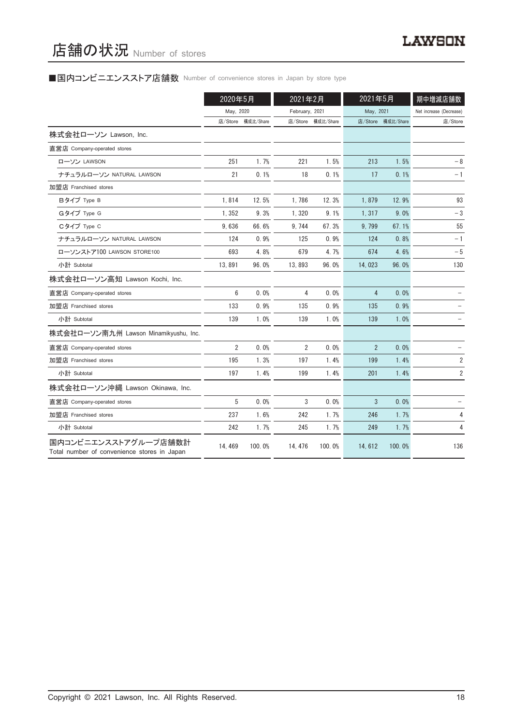# ■国内コンビニエンスストア店舗数 Number of convenience stores in Japan by store type

|                                                                     | 2020年5月        |           | 2021年2月        |                   | 2021年5月        |                   | 期中増減店舗数                 |  |
|---------------------------------------------------------------------|----------------|-----------|----------------|-------------------|----------------|-------------------|-------------------------|--|
|                                                                     | May, 2020      |           | February, 2021 |                   | May, 2021      |                   | Net increase (Decrease) |  |
|                                                                     | 店/Store        | 構成比/Share |                | 店/Store 構成比/Share |                | 店/Store 構成比/Share | 店/Store                 |  |
| 株式会社ローソン Lawson, Inc.                                               |                |           |                |                   |                |                   |                         |  |
| 直営店 Company-operated stores                                         |                |           |                |                   |                |                   |                         |  |
| ローソン LAWSON                                                         | 251            | 1.7%      | 221            | 1.5%              | 213            | 1.5%              | - 8                     |  |
| ナチュラルローソン NATURAL LAWSON                                            | 21             | 0.1%      | 18             | 0.1%              | 17             | 0.1%              | $-1$                    |  |
| 加盟店 Franchised stores                                               |                |           |                |                   |                |                   |                         |  |
| Bタイプ Type B                                                         | 1,814          | 12.5%     | 1,786          | 12.3%             | 1,879          | 12.9%             | 93                      |  |
| Gタイプ Type G                                                         | 1,352          | 9.3%      | 1,320          | 9.1%              | 1,317          | 9.0%              | $-3$                    |  |
| Cタイプ Type C                                                         | 9,636          | 66.6%     | 9, 744         | 67.3%             | 9,799          | 67.1%             | 55                      |  |
| ナチュラルローソン NATURAL LAWSON                                            | 124            | 0.9%      | 125            | 0.9%              | 124            | 0.8%              | $-1$                    |  |
| ローソンストア100 LAWSON STORE100                                          | 693            | 4.8%      | 679            | 4.7%              | 674            | 4.6%              | $-5$                    |  |
| 小計 Subtotal                                                         | 13,891         | 96.0%     | 13,893         | 96.0%             | 14,023         | 96.0%             | 130                     |  |
| 株式会社ローソン高知 Lawson Kochi, Inc.                                       |                |           |                |                   |                |                   |                         |  |
| 直営店 Company-operated stores                                         | 6              | 0.0%      | 4              | 0.0%              | $\overline{4}$ | 0.0%              |                         |  |
| 加盟店 Franchised stores                                               | 133            | 0.9%      | 135            | 0.9%              | 135            | 0.9%              |                         |  |
| 小計 Subtotal                                                         | 139            | 1.0%      | 139            | 1.0%              | 139            | 1.0%              |                         |  |
| 株式会社ローソン南九州 Lawson Minamikyushu, Inc.                               |                |           |                |                   |                |                   |                         |  |
| 直営店 Company-operated stores                                         | $\overline{2}$ | 0.0%      | 2              | 0.0%              | $\overline{2}$ | 0.0%              |                         |  |
| 加盟店 Franchised stores                                               | 195            | 1.3%      | 197            | 1.4%              | 199            | 1.4%              | 2                       |  |
| 小計 Subtotal                                                         | 197            | 1.4%      | 199            | 1.4%              | 201            | 1.4%              | $\overline{2}$          |  |
| 株式会社ローソン沖縄 Lawson Okinawa, Inc.                                     |                |           |                |                   |                |                   |                         |  |
| 直営店 Company-operated stores                                         | 5              | 0.0%      | 3              | 0.0%              | 3              | 0.0%              |                         |  |
| 加盟店 Franchised stores                                               | 237            | 1.6%      | 242            | 1.7%              | 246            | 1.7%              | 4                       |  |
| 小計 Subtotal                                                         | 242            | 1.7%      | 245            | 1.7%              | 249            | 1.7%              | 4                       |  |
| 国内コンビニエンスストアグループ店舗数計<br>Total number of convenience stores in Japan | 14, 469        | 100.0%    | 14, 476        | 100.0%            | 14,612         | 100.0%            | 136                     |  |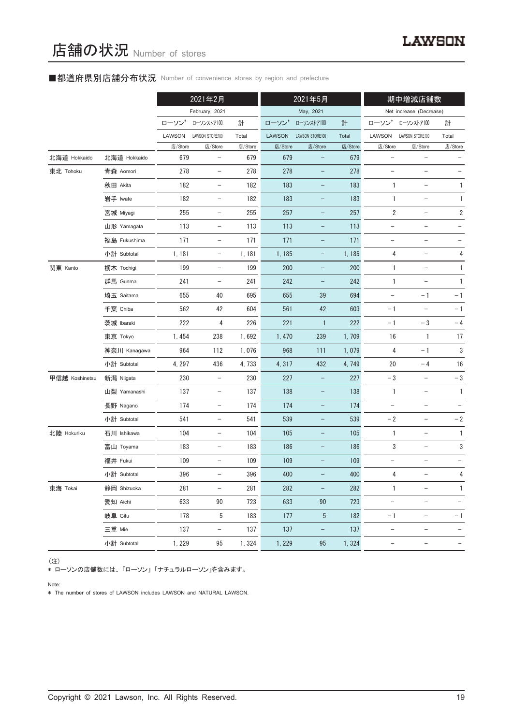# ■都道府県別店舗分布状況 Number of convenience stores by region and prefecture

|                |              |         | 2021年2月                  |         |         | 2021年5月           |         |                          | 期中増減店舗数                  |                   |
|----------------|--------------|---------|--------------------------|---------|---------|-------------------|---------|--------------------------|--------------------------|-------------------|
|                |              |         | February, 2021           |         |         | May, 2021         |         |                          | Net increase (Decrease)  |                   |
|                |              | ローソン    | ローソンストア100               | 計       | ローソン    | ローソンストア100        | 計       | ローソン*                    | ローソンストア100               | 計                 |
|                |              | LAWSON  | LAWSON STORE100          | Total   | LAWSON  | LAWSON STORE100   | Total   | LAWSON                   | LAWSON STORE100          | Total             |
|                |              | 店/Store | 店/Store                  | 店/Store | 店/Store | 店/Store           | 店/Store | 店/Store                  | 店/Store                  | 店/Store           |
| 北海道 Hokkaido   | 北海道 Hokkaido | 679     | $\qquad \qquad -$        | 679     | 679     |                   | 679     |                          |                          |                   |
| 東北 Tohoku      | 青森 Aomori    | 278     | $\qquad \qquad -$        | 278     | 278     | $\qquad \qquad -$ | 278     | $\overline{\phantom{0}}$ | $\overline{\phantom{0}}$ |                   |
|                | 秋田 Akita     | 182     | $\overline{\phantom{a}}$ | 182     | 183     | -                 | 183     | 1                        | $\qquad \qquad -$        | 1                 |
|                | 岩手 Iwate     | 182     | $\qquad \qquad -$        | 182     | 183     |                   | 183     | 1                        |                          | $\mathbf{1}$      |
|                | 宮城 Miyagi    | 255     | $\overline{\phantom{a}}$ | 255     | 257     | $\qquad \qquad -$ | 257     | $\overline{2}$           | $\qquad \qquad -$        | $\sqrt{2}$        |
|                | 山形 Yamagata  | 113     | $\overline{\phantom{a}}$ | 113     | 113     | -                 | 113     | $\qquad \qquad -$        | $\qquad \qquad -$        |                   |
|                | 福島 Fukushima | 171     | $\qquad \qquad -$        | 171     | 171     |                   | 171     | $\qquad \qquad -$        |                          |                   |
|                | 小計 Subtotal  | 1,181   | $\overline{\phantom{a}}$ | 1, 181  | 1, 185  | -                 | 1, 185  | 4                        | $\qquad \qquad -$        | 4                 |
| 関東 Kanto       | 栃木 Tochigi   | 199     | $\overline{\phantom{a}}$ | 199     | 200     | -                 | 200     | 1                        | $\overline{\phantom{a}}$ | 1                 |
|                | 群馬 Gunma     | 241     | $\qquad \qquad -$        | 241     | 242     |                   | 242     | $\mathbf{1}$             |                          | $\mathbf{1}$      |
|                | 埼玉 Saitama   | 655     | 40                       | 695     | 655     | 39                | 694     | $\qquad \qquad -$        | $-1$                     | $-1$              |
|                | 千葉 Chiba     | 562     | 42                       | 604     | 561     | 42                | 603     | $-1$                     | $\qquad \qquad -$        | $-1$              |
|                | 茨城 Ibaraki   | 222     | 4                        | 226     | 221     | $\mathbf{1}$      | 222     | $-1$                     | $-3$                     | $-4$              |
|                | 東京 Tokyo     | 1,454   | 238                      | 1,692   | 1,470   | 239               | 1,709   | 16                       | 1                        | 17                |
|                | 神奈川 Kanagawa | 964     | 112                      | 1,076   | 968     | 111               | 1,079   | 4                        | $-1$                     | 3                 |
|                | 小計 Subtotal  | 4, 297  | 436                      | 4,733   | 4,317   | 432               | 4,749   | 20                       | $-4$                     | 16                |
| 甲信越 Koshinetsu | 新潟 Niigata   | 230     | $\overline{\phantom{m}}$ | 230     | 227     | $\qquad \qquad -$ | 227     | $-3$                     | $\qquad \qquad -$        | $-\sqrt{3}$       |
|                | 山梨 Yamanashi | 137     | $\overline{\phantom{a}}$ | 137     | 138     | -                 | 138     | $\mathbf{1}$             | $\overline{\phantom{a}}$ | $\mathbf{1}$      |
|                | 長野 Nagano    | 174     | $\qquad \qquad -$        | 174     | 174     |                   | 174     | $\qquad \qquad -$        |                          |                   |
|                | 小計 Subtotal  | 541     | $\overline{\phantom{m}}$ | 541     | 539     | $\qquad \qquad -$ | 539     | $-2$                     | $\overline{\phantom{0}}$ | $-2$              |
| 北陸 Hokuriku    | 石川 Ishikawa  | 104     | $\overline{\phantom{a}}$ | 104     | 105     | $\qquad \qquad -$ | 105     | $\mathbf{1}$             | $\overline{\phantom{a}}$ | $\mathbf{1}$      |
|                | 富山 Toyama    | 183     | $\qquad \qquad -$        | 183     | 186     |                   | 186     | 3                        |                          | 3                 |
|                | 福井 Fukui     | 109     | $\qquad \qquad -$        | 109     | 109     | -                 | 109     |                          |                          |                   |
|                | 小計 Subtotal  | 396     | -                        | 396     | 400     |                   | 400     | 4                        |                          | 4                 |
| 東海 Tokai       | 静岡 Shizuoka  | 281     | $\overline{\phantom{0}}$ | 281     | 282     |                   | 282     | $\mathbf{1}$             | $\qquad \qquad -$        | $\mathbf{1}$      |
|                | 愛知 Aichi     | 633     | 90                       | 723     | 633     | 90                | 723     | $\overline{\phantom{0}}$ | $\qquad \qquad -$        |                   |
|                | 岐阜 Gifu      | 178     | 5                        | 183     | 177     | 5                 | 182     | $-1$                     | -                        | $-1$              |
|                | 三重 Mie       | 137     | $\overline{\phantom{a}}$ | 137     | 137     | -                 | 137     | $\qquad \qquad -$        | $\qquad \qquad -$        |                   |
|                | 小計 Subtotal  | 1,229   | 95                       | 1,324   | 1,229   | 95                | 1,324   | $\qquad \qquad -$        | $\qquad \qquad -$        | $\qquad \qquad -$ |

(注)

\* ローソンの店舗数には、 「ローソン」 「ナチュラルローソン」を含みます。

Note:

\* The number of stores of LAWSON includes LAWSON and NATURAL LAWSON.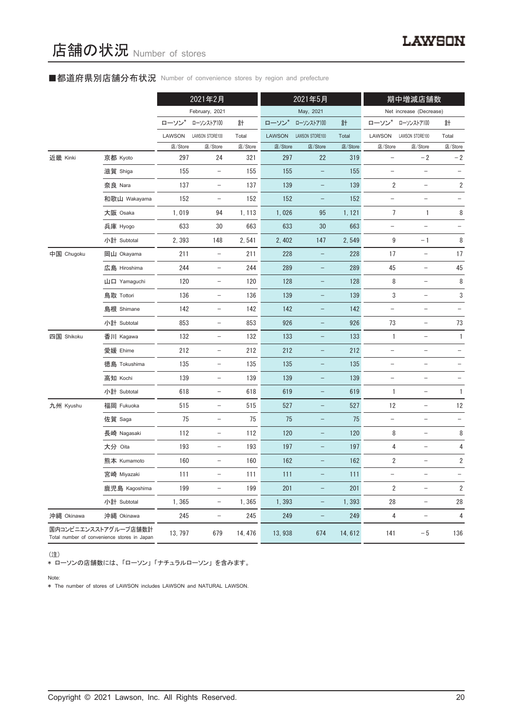# ■都道府県別店舗分布状況 Number of convenience stores by region and prefecture

|            |                                                                     |         | 2021年2月                  |         | 2021年5月       |                          |         | 期中増減店舗数                  |                          |                          |
|------------|---------------------------------------------------------------------|---------|--------------------------|---------|---------------|--------------------------|---------|--------------------------|--------------------------|--------------------------|
|            |                                                                     |         | February, 2021           |         |               | May, 2021                |         |                          | Net increase (Decrease)  |                          |
|            |                                                                     | ローソン    | ローソンストア100               | 計       | ローソン*         | ローソンストア100               | 計       | ローソン*                    | ローソンストア100               | 計                        |
|            |                                                                     | LAWSON  | LAWSON STORE100          | Total   | <b>LAWSON</b> | LAWSON STORE100          | Total   | LAWSON                   | LAWSON STORE100          | Total                    |
|            |                                                                     | 店/Store | 店/Store                  | 店/Store | 店/Store       | 店/Store                  | 店/Store | 店/Store                  | 店/Store                  | 店/Store                  |
| 近畿 Kinki   | 京都 Kyoto                                                            | 297     | 24                       | 321     | 297           | 22                       | 319     |                          | $-2$                     | $-2$                     |
|            | 滋賀 Shiga                                                            | 155     | $\overline{\phantom{a}}$ | 155     | 155           | $\qquad \qquad -$        | 155     | $\qquad \qquad -$        | $\overline{\phantom{0}}$ |                          |
|            | 奈良 Nara                                                             | 137     | $\overline{\phantom{a}}$ | 137     | 139           | $\qquad \qquad -$        | 139     | $\overline{2}$           | $\overline{\phantom{a}}$ | $\overline{\mathbf{c}}$  |
|            | 和歌山 Wakayama                                                        | 152     | $\overline{\phantom{a}}$ | 152     | 152           | $\qquad \qquad -$        | 152     | $\qquad \qquad -$        |                          |                          |
|            | 大阪 Osaka                                                            | 1,019   | 94                       | 1, 113  | 1,026         | 95                       | 1, 121  | $\overline{7}$           | 1                        | 8                        |
|            | 兵庫 Hyogo                                                            | 633     | 30                       | 663     | 633           | 30                       | 663     | $\overline{\phantom{0}}$ | $\overline{\phantom{0}}$ |                          |
|            | 小計 Subtotal                                                         | 2,393   | 148                      | 2,541   | 2,402         | 147                      | 2,549   | 9                        | $-1$                     | 8                        |
| 中国 Chugoku | 岡山 Okayama                                                          | 211     | $\overline{\phantom{a}}$ | 211     | 228           | $\qquad \qquad -$        | 228     | 17                       | $\overline{\phantom{a}}$ | 17                       |
|            | 広島 Hiroshima                                                        | 244     | $\overline{\phantom{a}}$ | 244     | 289           | $\qquad \qquad -$        | 289     | $45\,$                   | $\overline{\phantom{a}}$ | 45                       |
|            | 山口 Yamaguchi                                                        | 120     | $\overline{\phantom{a}}$ | 120     | 128           | $\qquad \qquad -$        | 128     | 8                        | $\qquad \qquad -$        | 8                        |
|            | 鳥取 Tottori                                                          | 136     | $\overline{\phantom{a}}$ | 136     | 139           | $\qquad \qquad -$        | 139     | 3                        | $\qquad \qquad -$        | 3                        |
|            | 島根 Shimane                                                          | 142     | $\overline{\phantom{a}}$ | 142     | 142           | $\qquad \qquad -$        | 142     | $\overline{\phantom{0}}$ | $\qquad \qquad -$        |                          |
|            | 小計 Subtotal                                                         | 853     | $\overline{\phantom{a}}$ | 853     | 926           | $\qquad \qquad -$        | 926     | 73                       | $\qquad \qquad -$        | 73                       |
| 四国 Shikoku | 香川 Kagawa                                                           | 132     | $\overline{\phantom{a}}$ | 132     | 133           | -                        | 133     | $\mathbf{1}$             | $\qquad \qquad -$        | 1                        |
|            | 愛媛 Ehime                                                            | 212     | $\overline{\phantom{a}}$ | 212     | 212           | $\qquad \qquad -$        | 212     | $\qquad \qquad -$        | $\qquad \qquad -$        |                          |
|            | 徳島 Tokushima                                                        | 135     | $\overline{\phantom{a}}$ | 135     | 135           | $\qquad \qquad -$        | 135     | $\qquad \qquad -$        | -                        |                          |
|            | 高知 Kochi                                                            | 139     | $\overline{\phantom{a}}$ | 139     | 139           | $\qquad \qquad -$        | 139     | $\qquad \qquad -$        | $\qquad \qquad -$        |                          |
|            | 小計 Subtotal                                                         | 618     | $\overline{\phantom{a}}$ | 618     | 619           | $\overline{\phantom{a}}$ | 619     | 1                        | $\overline{\phantom{a}}$ | 1                        |
| 九州 Kyushu  | 福岡 Fukuoka                                                          | 515     | $\overline{\phantom{a}}$ | 515     | 527           | $\qquad \qquad -$        | 527     | 12                       | $\qquad \qquad -$        | 12                       |
|            | 佐賀 Saga                                                             | 75      | $\overline{\phantom{a}}$ | 75      | 75            | $\qquad \qquad -$        | 75      | $\qquad \qquad -$        | $\qquad \qquad -$        | $\overline{\phantom{a}}$ |
|            | 長崎 Nagasaki                                                         | 112     | $\overline{\phantom{a}}$ | 112     | 120           | $\qquad \qquad -$        | 120     | 8                        | $\qquad \qquad -$        | 8                        |
|            | 大分 Oita                                                             | 193     | $\qquad \qquad -$        | 193     | 197           | -                        | 197     | 4                        | $\qquad \qquad -$        | 4                        |
|            | 熊本 Kumamoto                                                         | 160     | $\overline{\phantom{a}}$ | 160     | 162           |                          | 162     | 2                        |                          | 2                        |
|            | 宮崎 Miyazaki                                                         | 111     | $\overline{\phantom{a}}$ | 111     | 111           |                          | 111     |                          | -                        |                          |
|            | 鹿児島 Kagoshima                                                       | 199     | $\overline{\phantom{0}}$ | 199     | 201           | $\qquad \qquad -$        | 201     | 2                        | $\overline{\phantom{0}}$ | 2                        |
|            | 小計 Subtotal                                                         | 1,365   | $\overline{\phantom{a}}$ | 1,365   | 1,393         | -                        | 1,393   | 28                       | $\overline{\phantom{a}}$ | 28                       |
| 沖縄 Okinawa | 沖縄 Okinawa                                                          | 245     | -                        | 245     | 249           | -                        | 249     | 4                        | $\qquad \qquad -$        | $\overline{4}$           |
|            | 国内コンビニエンスストアグループ店舗数計<br>Total number of convenience stores in Japan | 13, 797 | 679                      | 14, 476 | 13,938        | 674                      | 14,612  | 141                      | $-\,5$                   | 136                      |

(注)

\* ローソンの店舗数には、 「ローソン」 「ナチュラルローソン」 を含みます。

Note:

\* The number of stores of LAWSON includes LAWSON and NATURAL LAWSON.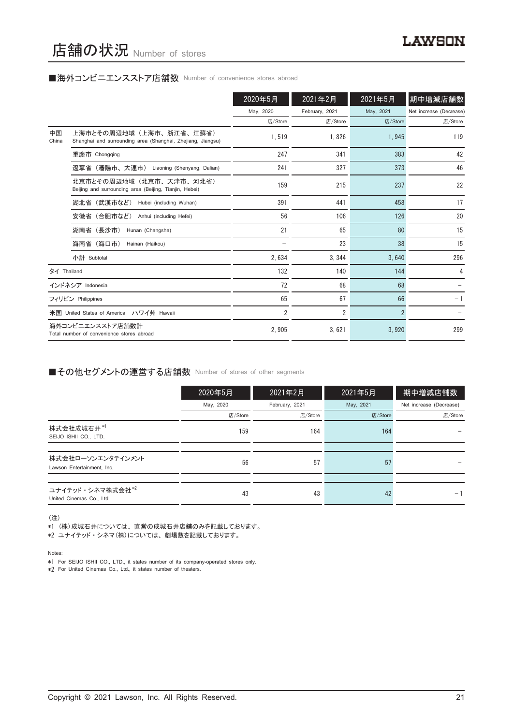#### ■海外コンビニエンスストア店舗数 Number of convenience stores abroad

|             |                                                                                        | 2020年5月        | 2021年2月        | 2021年5月        | 期中増減店舗数                 |
|-------------|----------------------------------------------------------------------------------------|----------------|----------------|----------------|-------------------------|
|             |                                                                                        | May, 2020      | February, 2021 | May, 2021      | Net increase (Decrease) |
|             |                                                                                        | 店/Store        | 店/Store        | 店/Store        | 店/Store                 |
| 中国<br>China | 上海市とその周辺地域(上海市、浙江省、江蘇省)<br>Shanghai and surrounding area (Shanghai, Zhejiang, Jiangsu) | 1.519          | 1.826          | 1,945          | 119                     |
|             | 重慶市 Chongqing                                                                          | 247            | 341            | 383            | 42                      |
|             | 遼寧省(瀋陽市、大連市) Liaoning (Shenyang, Dalian)                                               | 241            | 327            | 373            | 46                      |
|             | 北京市とその周辺地域(北京市、天津市、河北省)<br>Beijing and surrounding area (Beijing, Tianjin, Hebei)      | 159            | 215            | 237            | 22                      |
|             | 湖北省(武漢市など)<br>Hubei (including Wuhan)                                                  | 391            | 441            | 458            | 17                      |
|             | 安徽省 (合肥市など)<br>Anhui (including Hefei)                                                 | 56             | 106            | 126            | 20                      |
|             | 湖南省 (長沙市)<br>Hunan (Changsha)                                                          | 21             | 65             | 80             | 15                      |
|             | 海南省(海口市)<br>Hainan (Haikou)                                                            |                | 23             | 38             | 15                      |
|             | 小計 Subtotal                                                                            | 2.634          | 3.344          | 3.640          | 296                     |
| タイ Thailand |                                                                                        | 132            | 140            | 144            | 4                       |
|             | インドネシア Indonesia                                                                       | 72             | 68             | 68             |                         |
|             | フィリピン Philippines                                                                      | 65             | 67             | 66             | $-1$                    |
|             | 米国 United States of America ハワイ州 Hawaii                                                | $\overline{2}$ | 2              | $\overline{2}$ |                         |
|             | 海外コンビニエンスストア店舗数計<br>Total number of convenience stores abroad                          | 2.905          | 3.621          | 3,920          | 299                     |

## ■その他セグメントの運営する店舗数 Number of stores of other segments

|                                                 | 2020年5月   | 2021年2月        | 2021年5月   | 期中増減店舗数                 |
|-------------------------------------------------|-----------|----------------|-----------|-------------------------|
|                                                 | May, 2020 | February, 2021 | May, 2021 | Net increase (Decrease) |
|                                                 | 店/Store   | 店/Store        | 店/Store   | 店/Store                 |
| 株式会社成城石井*1<br>SEIJO ISHII CO., LTD.             | 159       | 164            | 164       |                         |
|                                                 |           |                |           |                         |
| 株式会社ローソンエンタテインメント<br>Lawson Entertainment, Inc. | 56        | 57             | 57        |                         |
|                                                 |           |                |           |                         |
| ユナイテッド・シネマ株式会社*2<br>United Cinemas Co., Ltd.    | 43        | 43             | 42        | - 1                     |

(注)

- \*1 (株)成城石井については、 直営の成城石井店舗のみを記載しております。
- \*2 ユナイテッド・シネマ(株)については、 劇場数を記載しております。

Notes:

\*1 For SEIJO ISHII CO., LTD., it states number of its company-operated stores only.

\*2 For United Cinemas Co., Ltd., it states number of theaters.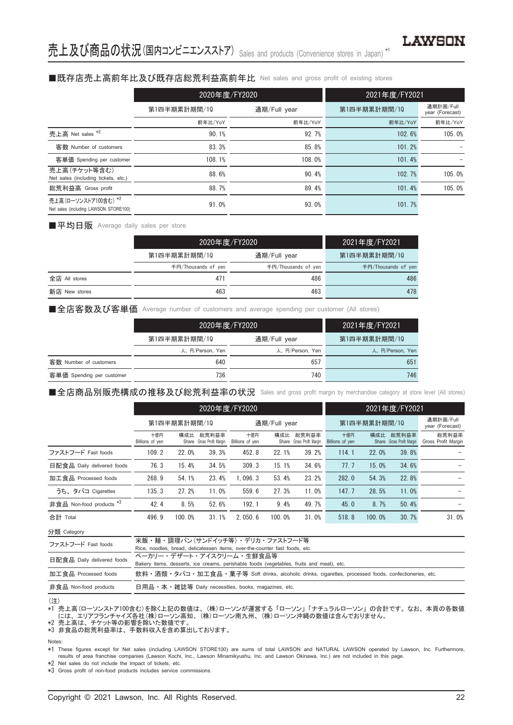## ■既存店売上高前年比及び既存店総荒利益高前年比 Net sales and gross profit of existing stores

|                                                               | 2020年度/FY2020 |              | 2021年度/FY2021 |                              |  |  |
|---------------------------------------------------------------|---------------|--------------|---------------|------------------------------|--|--|
|                                                               | 第1四半期累計期間/10  | 通期/Full year | 第1四半期累計期間/10  | 通期計画/Full<br>year (Forecast) |  |  |
|                                                               | 前年比/YoY       | 前年比/YoY      | 前年比/YoY       | 前年比/YoY                      |  |  |
| 売上高 Net sales *2                                              | 90.1%         | 92.7%        | 102.6%        | 105.0%                       |  |  |
| 客数 Number of customers                                        | 83.3%         | 85.8%        | 101.2%        |                              |  |  |
| 客単価 Spending per customer                                     | 108.1%        | 108.0%       | 101.4%        |                              |  |  |
| 売上高(チケット等含む)<br>Net sales (including tickets, etc.)           | 88.6%         | 90.4%        | 102.7%        | 105.0%                       |  |  |
| 総荒利益高 Gross profit                                            | 88.7%         | 89.4%        | 101.4%        | 105.0%                       |  |  |
| 売上高(ローソンストア100含む) *2<br>Net sales (including LAWSON STORE100) | 91.0%         | 93.0%        | 101.7%        |                              |  |  |

■平均日販 Average daily sales per store

|               | 2020年度/FY2020       | 2021年度/FY2021       |                     |
|---------------|---------------------|---------------------|---------------------|
|               | 第1四半期累計期間/10        | 通期/Full year        | 第1四半期累計期間/10        |
|               | 千円/Thousands of yen | 千円/Thousands of yen | 千円/Thousands of yen |
| 全店 All stores | 471                 | 486                 | 486                 |
| 新店 New stores | 463                 | 463                 | 478                 |

■全店客数及び客単価 Average number of customers and average spending per customer (All stores)

|                           | 2020年度/FY2020   |                 | 2021年度/FY2021   |
|---------------------------|-----------------|-----------------|-----------------|
|                           | 第1四半期累計期間/10    | 通期/Full year    | 第1四半期累計期間/10    |
|                           | 人、円/Person, Yen | 人、円/Person, Yen | 人、円/Person, Yen |
| 客数 Number of customers    | 640             | 657             | 651             |
| 客単価 Spending per customer | 736             | 740             | 746             |

■全店商品別販売構成の推移及び総荒利益率の状況 Sales and gross profit margin by merchandise category at store level (All stores)

|                                     | 2020年度/FY2020          |        |                                    |                        |        | 2021年度/FY2021                      |                        |        |                                    |                              |
|-------------------------------------|------------------------|--------|------------------------------------|------------------------|--------|------------------------------------|------------------------|--------|------------------------------------|------------------------------|
|                                     | 第1四半期累計期間/10           |        | 通期/Full year                       |                        |        | 第1四半期累計期間/10                       |                        |        | 通期計画/Full<br>year (Forecast)       |                              |
|                                     | 十億円<br>Billions of yen | 構成比    | 総荒利益率<br>Share Gross Profit Margin | 十億円<br>Billions of yen | 構成比    | 総荒利益率<br>Share Gross Profit Margin | 十億円<br>Billions of yen | 構成比    | 総荒利益率<br>Share Gross Profit Margin | 総荒利益率<br>Gross Profit Margin |
| ファストフード Fast foods                  | 109.2                  | 22.0%  | 39.3%                              | 452.8                  | 22.1%  | 39.2%                              | 114.1                  | 22.0%  | 39.8%                              |                              |
| 日配食品 Daily delivered foods          | 76.3                   | 15.4%  | 34.5%                              | 309.3                  | 15.1%  | 34.6%                              | 77.7                   | 15.0%  | 34.6%                              |                              |
| 加工食品 Processed foods                | 268.9                  | 54.1%  | 23.4%                              | 1.096.3                | 53.4%  | 23.2%                              | 282.0                  | 54.3%  | 22.8%                              |                              |
| うち、タバコ Cigarettes                   | 135.3                  | 27.2%  | 11.0%                              | 559.6                  | 27.3%  | 11.0%                              | 147.7                  | 28.5%  | 11.0%                              |                              |
| 非食品 Non-food products <sup>*3</sup> | 42.4                   | 8.5%   | 52.6%                              | 192.1                  | 9.4%   | 49.7%                              | 45.0                   | 8.7%   | 50.4%                              |                              |
| 合計 Total                            | 496.9                  | 100.0% | 31.1%                              | 2.050.6                | 100.0% | 31.0%                              | 518.8                  | 100.0% | 30.7%                              | 31.0%                        |

分類 Category

| ファストフード Fast foods         | 米飯・麺・調理パン(サンドイッチ等)・デリカ・ファストフード等                                                                      |
|----------------------------|------------------------------------------------------------------------------------------------------|
|                            | Rice, noodles, bread, delicatessen items, over-the-counter fast foods, etc.                          |
| 日配食品 Daily delivered foods | ベーカリー・デザート・アイスクリーム・生鮮食品等                                                                             |
|                            | Bakery items, desserts, ice creams, perishable foods (vegetables, fruits and meat), etc.             |
| 加工食品 Processed foods       | 飲料・酒類・タバコ・加工食品・菓子等 Soft drinks, alcoholic drinks, cigarettes, processed foods, confectioneries, etc. |
| 非食品 Non-food products      | 日用品 • 本 • 雑誌等 Daily necessities, books, magazines, etc.                                              |
|                            |                                                                                                      |

#### (注)

\*1 売上高(ローソンストア100含む)を除く上記の数値は、 (株)ローソンが運営する 「ローソン」 「ナチュラルローソン」 の合計です。 なお、 本頁の各数値 には、 エリアフランチャイズ各社(株)ローソン高知、 (株)ローソン南九州、 (株)ローソン沖縄の数値は含んでおりません。 \*2 売上高は、 チケット等の影響を除いた数値です。

\*3 非食品の総荒利益率は、 手数料収入を含め算出しております。

#### Notes:

\*1 These figures except for Net sales (including LAWSON STORE100) are sums of total LAWSON and NATURAL LAWSON operated by Lawson, Inc. Furthermore, results of area franchise companies (Lawson Kochi, Inc., Lawson Minamikyushu, Inc. and Lawson Okinawa, Inc.) are not included in this page.

\*2 Net sales do not include the impact of tickets, etc.

\*3 Gross profit of non-food products includes service commissions.